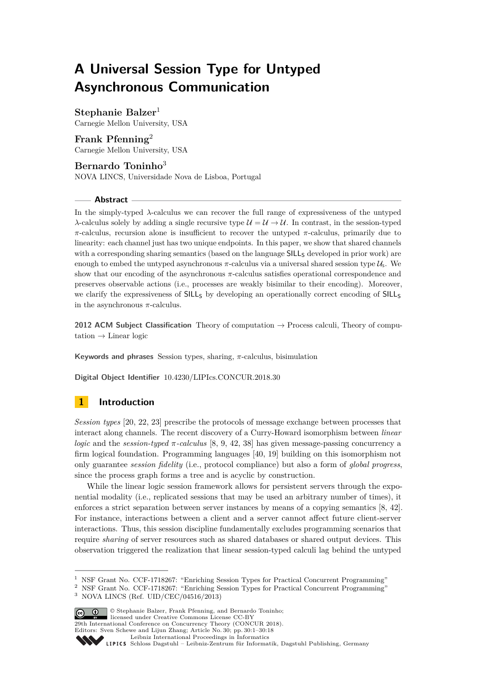# **A Universal Session Type for Untyped Asynchronous Communication**

**Stephanie Balzer**<sup>1</sup> Carnegie Mellon University, USA

**Frank Pfenning**<sup>2</sup> Carnegie Mellon University, USA

# **Bernardo Toninho**<sup>3</sup>

NOVA LINCS, Universidade Nova de Lisboa, Portugal

# **Abstract**

In the simply-typed *λ*-calculus we can recover the full range of expressiveness of the untyped *λ*-calculus solely by adding a single recursive type  $\mathcal{U} = \mathcal{U} \rightarrow \mathcal{U}$ . In contrast, in the session-typed *π*-calculus, recursion alone is insufficient to recover the untyped *π*-calculus, primarily due to linearity: each channel just has two unique endpoints. In this paper, we show that shared channels with a corresponding sharing semantics (based on the language SILL<sub>S</sub> developed in prior work) are enough to embed the untyped asynchronous  $\pi$ -calculus via a universal shared session type  $\mathcal{U}_s$ . We show that our encoding of the asynchronous *π*-calculus satisfies operational correspondence and preserves observable actions (i.e., processes are weakly bisimilar to their encoding). Moreover, we clarify the expressiveness of SILL<sub>S</sub> by developing an operationally correct encoding of SILL<sub>S</sub> in the asynchronous *π*-calculus.

**2012 ACM Subject Classification** Theory of computation → Process calculi, Theory of computation  $\rightarrow$  Linear logic

**Keywords and phrases** Session types, sharing, *π*-calculus, bisimulation

**Digital Object Identifier** [10.4230/LIPIcs.CONCUR.2018.30](http://dx.doi.org/10.4230/LIPIcs.CONCUR.2018.30)

# **1 Introduction**

*Session types* [\[20,](#page-15-0) [22,](#page-16-0) [23\]](#page-16-1) prescribe the protocols of message exchange between processes that interact along channels. The recent discovery of a Curry-Howard isomorphism between *linear logic* and the *session-typed*  $\pi$ *-calculus* [\[8,](#page-15-1) [9,](#page-15-2) [42,](#page-17-0) [38\]](#page-16-2) has given message-passing concurrency a firm logical foundation. Programming languages [\[40,](#page-16-3) [19\]](#page-15-3) building on this isomorphism not only guarantee *session fidelity* (i.e., protocol compliance) but also a form of *global progress*, since the process graph forms a tree and is acyclic by construction.

While the linear logic session framework allows for persistent servers through the exponential modality (i.e., replicated sessions that may be used an arbitrary number of times), it enforces a strict separation between server instances by means of a copying semantics [\[8,](#page-15-1) [42\]](#page-17-0). For instance, interactions between a client and a server cannot affect future client-server interactions. Thus, this session discipline fundamentally excludes programming scenarios that require *sharing* of server resources such as shared databases or shared output devices. This observation triggered the realization that linear session-typed calculi lag behind the untyped

<sup>2</sup> NSF Grant No. CCF-1718267: "Enriching Session Types for Practical Concurrent Programming"

 $3$  NOVA LINCS (Ref. UID/CEC/04516/2013)



© Stephanie Balzer, Frank Pfenning, and Bernardo Toninho; licensed under Creative Commons License CC-BY 29th International Conference on Concurrency Theory (CONCUR 2018).

Editors: Sven Schewe and Lijun Zhang; Article No. 30; pp. 30:1–30[:18](#page-17-1)

<sup>&</sup>lt;sup>1</sup> NSF Grant No. CCF-1718267: "Enriching Session Types for Practical Concurrent Programming"

[Leibniz International Proceedings in Informatics](http://www.dagstuhl.de/lipics/)

Leibniz international Floretungs in missimosische Publishing, Germany<br>LIPICS [Schloss Dagstuhl – Leibniz-Zentrum für Informatik, Dagstuhl Publishing, Germany](http://www.dagstuhl.de)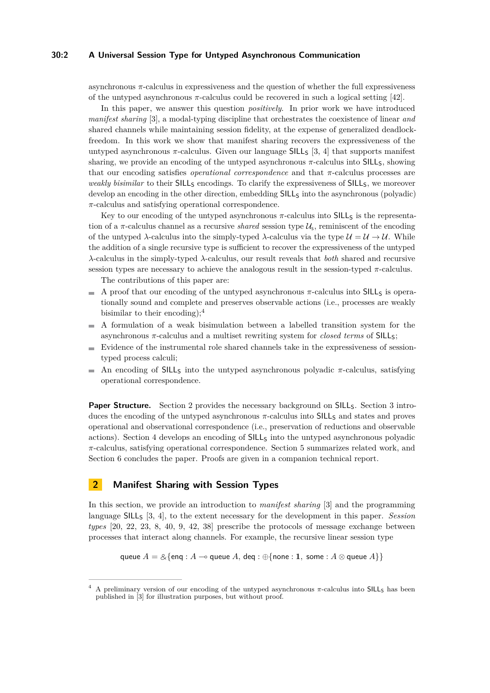#### **30:2 A Universal Session Type for Untyped Asynchronous Communication**

asynchronous *π*-calculus in expressiveness and the question of whether the full expressiveness of the untyped asynchronous *π*-calculus could be recovered in such a logical setting [\[42\]](#page-17-0).

In this paper, we answer this question *positively*. In prior work we have introduced *manifest sharing* [\[3\]](#page-15-4), a modal-typing discipline that orchestrates the coexistence of linear *and* shared channels while maintaining session fidelity, at the expense of generalized deadlockfreedom. In this work we show that manifest sharing recovers the expressiveness of the untyped asynchronous  $\pi$ -calculus. Given our language SILL<sub>S</sub> [\[3,](#page-15-4) [4\]](#page-15-5) that supports manifest sharing, we provide an encoding of the untyped asynchronous  $\pi$ -calculus into SILL<sub>S</sub>, showing that our encoding satisfies *operational correspondence* and that *π*-calculus processes are *weakly bisimilar* to their SILL<sub>S</sub> encodings. To clarify the expressiveness of SILL<sub>S</sub>, we moreover develop an encoding in the other direction, embedding SILL<sub>S</sub> into the asynchronous (polyadic) *π*-calculus and satisfying operational correspondence.

Key to our encoding of the untyped asynchronous  $\pi$ -calculus into SILL<sub>S</sub> is the representation of a  $\pi$ -calculus channel as a recursive *shared* session type  $\mathcal{U}_s$ , reminiscent of the encoding of the untyped  $\lambda$ -calculus into the simply-typed  $\lambda$ -calculus via the type  $\mathcal{U} = \mathcal{U} \rightarrow \mathcal{U}$ . While the addition of a single recursive type is sufficient to recover the expressiveness of the untyped *λ*-calculus in the simply-typed *λ*-calculus, our result reveals that *both* shared and recursive session types are necessary to achieve the analogous result in the session-typed *π*-calculus.

The contributions of this paper are:

- A proof that our encoding of the untyped asynchronous  $\pi$ -calculus into SILL<sub>S</sub> is operationally sound and complete and preserves observable actions (i.e., processes are weakly bisimilar to their encoding);<sup>[4](#page-1-0)</sup>
- A formulation of a weak bisimulation between a labelled transition system for the m. asynchronous *π*-calculus and a multiset rewriting system for *closed terms* of SILLS;
- $\blacksquare$  Evidence of the instrumental role shared channels take in the expressiveness of sessiontyped process calculi;
- An encoding of SILLs into the untyped asynchronous polyadic  $\pi$ -calculus, satisfying  $\sim$ operational correspondence.

**Paper Structure.** Section [2](#page-1-1) provides the necessary background on SILL<sub>S</sub>. Section [3](#page-4-0) introduces the encoding of the untyped asynchronous π-calculus into SILL<sub>S</sub> and states and proves operational and observational correspondence (i.e., preservation of reductions and observable actions). Section [4](#page-11-0) develops an encoding of SILL<sub>S</sub> into the untyped asynchronous polyadic *π*-calculus, satisfying operational correspondence. Section [5](#page-13-0) summarizes related work, and Section [6](#page-14-0) concludes the paper. Proofs are given in a companion technical report.

# <span id="page-1-1"></span>**2 Manifest Sharing with Session Types**

In this section, we provide an introduction to *manifest sharing* [\[3\]](#page-15-4) and the programming language SILL<sup>S</sup> [\[3,](#page-15-4) [4\]](#page-15-5), to the extent necessary for the development in this paper. *Session types* [\[20,](#page-15-0) [22,](#page-16-0) [23,](#page-16-1) [8,](#page-15-1) [40,](#page-16-3) [9,](#page-15-2) [42,](#page-17-0) [38\]](#page-16-2) prescribe the protocols of message exchange between processes that interact along channels. For example, the recursive linear session type

queue  $A = \&$ {enq : *A*  $\rightarrow$  queue *A*, deq :  $\bigoplus$ {none : **1***,* some : *A*  $\otimes$  queue *A*}}

<span id="page-1-0"></span><sup>4</sup> A preliminary version of our encoding of the untyped asynchronous *π*-calculus into SILL<sup>S</sup> has been published in [\[3\]](#page-15-4) for illustration purposes, but without proof.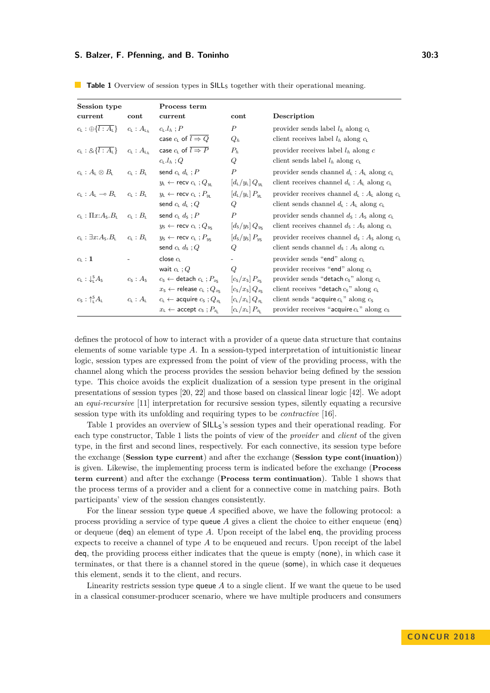| Session type                                                                               |                                   | Process term                                                                |                                                                  |                                                                                      |  |
|--------------------------------------------------------------------------------------------|-----------------------------------|-----------------------------------------------------------------------------|------------------------------------------------------------------|--------------------------------------------------------------------------------------|--|
| current                                                                                    | cont                              | current                                                                     | cont                                                             | Description                                                                          |  |
| $c_{\mathsf{L}} : \bigoplus \{ l : A_{\mathsf{L}} \}$ $c_{\mathsf{L}} : A_{\mathsf{L}_h}$  |                                   | $c_{L}.l_{h}:P$                                                             | $\boldsymbol{P}$                                                 | provider sends label $l_h$ along $c_l$                                               |  |
|                                                                                            |                                   | case $c_L$ of $l \Rightarrow Q$                                             | $Q_h$                                                            | client receives label $l_h$ along $c_l$                                              |  |
| $c_{\rm L} : 8\{l : A_{\rm L}\}\$                                                          | $c_{\mathsf{L}}:A_{\mathsf{L}_h}$ | case $c_{L}$ of $\overline{l \Rightarrow P}$                                | $P_h$                                                            | provider receives label $l_h$ along c                                                |  |
|                                                                                            |                                   | $c_{\text{L}}.l_h$ ; Q                                                      | Q                                                                | client sends label $l_h$ along $c_l$                                                 |  |
| $c_{\text{L}}: A_{\text{L}}\otimes B_{\text{L}}$                                           | $c_1 : B_1$                       | send $c_{L}$ $d_{L}$ ; $P$                                                  | $\boldsymbol{P}$                                                 | provider sends channel $d_1 : A_1$ along $c_1$                                       |  |
|                                                                                            |                                   | $y_{\text{L}} \leftarrow \text{recv } c_{\text{L}}$ ; $Q_{y_{\text{L}}}$    | $\left[ d_{\rm L}/y_{\rm L} \right] Q_{y_{\rm L}}$               | client receives channel $d_{\mathsf{L}} : A_{\mathsf{L}}$ along $c_{\mathsf{L}}$     |  |
| $c_{\mathsf{L}}:A_{\mathsf{L}}\multimap B_{\mathsf{L}}\quad c_{\mathsf{L}}:B_{\mathsf{L}}$ |                                   | $y_L \leftarrow \text{recv } c_L$ ; $P_w$                                   | $\left[ d_{\rm L}/y_{\rm L} \right] P_{y_{\rm L}}$               | provider receives channel $d_{\mathsf{L}}: A_{\mathsf{L}}$ along $c_{\mathsf{L}}$    |  |
|                                                                                            |                                   | send $c_{L} d_{L}$ ; Q                                                      | Q                                                                | client sends channel $d_{\mathsf{L}} : A_{\mathsf{L}}$ along $c_{\mathsf{L}}$        |  |
| $c_{\mathsf{L}} : \Pi x A_{\mathsf{S}} . B_{\mathsf{L}}$                                   | $c_{\mathsf{L}}:B_{\mathsf{L}}$   | send $c_{L}$ $d_{S}$ ; $P$                                                  | $\boldsymbol{P}$                                                 | provider sends channel $d_s : A_s$ along $c_t$                                       |  |
|                                                                                            |                                   | $y_{\rm S} \leftarrow$ recv $c_{\rm L}$ ; $Q_{y_{\rm S}}$                   | $\left[d_{\rm S}/y_{\rm S}\right]Q_{y_{\rm S}}$                  | client receives channel $d_s$ : $A_s$ along $c_t$                                    |  |
| $c_1 : \exists x:A_5.B_1$                                                                  | $c_1 : B_1$                       | $y_{\rm S} \leftarrow$ recv $c_{\rm L}$ ; $P_{\rm uc}$                      | $\left[d_{\rm S}/y_{\rm S}\right]P_{\rm vs}$                     | provider receives channel $d_{\mathsf{S}}$ : $A_{\mathsf{S}}$ along $c_{\mathsf{L}}$ |  |
|                                                                                            |                                   | send $c_1$ $d_5$ ; Q                                                        | Q                                                                | client sends channel $d_s : A_s$ along $c_t$                                         |  |
| $c_{\mathsf{L}}$ : 1                                                                       |                                   | close $c_1$                                                                 |                                                                  | provider sends "end" along $c_1$                                                     |  |
|                                                                                            |                                   | wait $c_{L}$ ; Q                                                            | Q                                                                | provider receives "end" along $c_1$                                                  |  |
| $c_{L}$ : $\downarrow_{1}^{S} A_{S}$                                                       | $c_s : A_s$                       | $c_5 \leftarrow$ detach $c_1$ ; $P_{x_5}$                                   | $\left[c_{\rm s}/x_{\rm s}\right]P_{x_{\rm s}}$                  | provider sends "detach $c_5$ " along $c_1$                                           |  |
|                                                                                            |                                   | $x_{\mathsf{S}} \leftarrow$ release $c_{\mathsf{L}}$ ; $Q_{x_{\mathsf{S}}}$ | $\left[c_{\rm s}/x_{\rm s}\right]Q_{x_{\rm s}}$                  | client receives "detach $c_5$ " along $c_1$                                          |  |
| $c_{\rm S}$ : $\uparrow_{\rm I}^{\rm S} A_{\rm L}$                                         | $c_{\mathsf{L}}:A_{\mathsf{L}}$   | $c_{\mathsf{L}} \leftarrow$ acquire $c_{\mathsf{S}}$ ; $Q_{x_{\mathsf{L}}}$ | $\left[ c_{\mathrm{L}}/x_{\mathrm{L}}\right] Q_{x_{\mathrm{L}}}$ | client sends "acquire $cL$ " along $cS$                                              |  |
|                                                                                            |                                   | $x_{\text{L}} \leftarrow \text{accept } c_{\text{s}}$ ; $P_{x_{\text{L}}}$  | $\left[ c_{\mathrm{L}}/x_{\mathrm{L}}\right] P_{x_{\mathrm{L}}}$ | provider receives "acquire $c_{L}$ " along $c_{S}$                                   |  |

<span id="page-2-0"></span>**Table 1** Overview of session types in SILL<sub>S</sub> together with their operational meaning.

defines the protocol of how to interact with a provider of a queue data structure that contains elements of some variable type *A*. In a session-typed interpretation of intuitionistic linear logic, session types are expressed from the point of view of the providing process, with the channel along which the process provides the session behavior being defined by the session type. This choice avoids the explicit dualization of a session type present in the original presentations of session types [\[20,](#page-15-0) [22\]](#page-16-0) and those based on classical linear logic [\[42\]](#page-17-0). We adopt an *equi-recursive* [\[11\]](#page-15-6) interpretation for recursive session types, silently equating a recursive session type with its unfolding and requiring types to be *contractive* [\[16\]](#page-15-7).

Table [1](#page-2-0) provides an overview of SILL<sub>S</sub>'s session types and their operational reading. For each type constructor, Table [1](#page-2-0) lists the points of view of the *provider* and *client* of the given type, in the first and second lines, respectively. For each connective, its session type before the exchange (**Session type current**) and after the exchange (**Session type cont(inuation)**) is given. Likewise, the implementing process term is indicated before the exchange (**Process term current**) and after the exchange (**Process term continuation**). Table [1](#page-2-0) shows that the process terms of a provider and a client for a connective come in matching pairs. Both participants' view of the session changes consistently.

For the linear session type queue *A* specified above, we have the following protocol: a process providing a service of type queue *A* gives a client the choice to either enqueue (enq) or dequeue (deq) an element of type *A*. Upon receipt of the label enq, the providing process expects to receive a channel of type *A* to be enqueued and recurs. Upon receipt of the label deq, the providing process either indicates that the queue is empty (none), in which case it terminates, or that there is a channel stored in the queue (some), in which case it dequeues this element, sends it to the client, and recurs.

Linearity restricts session type queue *A* to a single client. If we want the queue to be used in a classical consumer-producer scenario, where we have multiple producers and consumers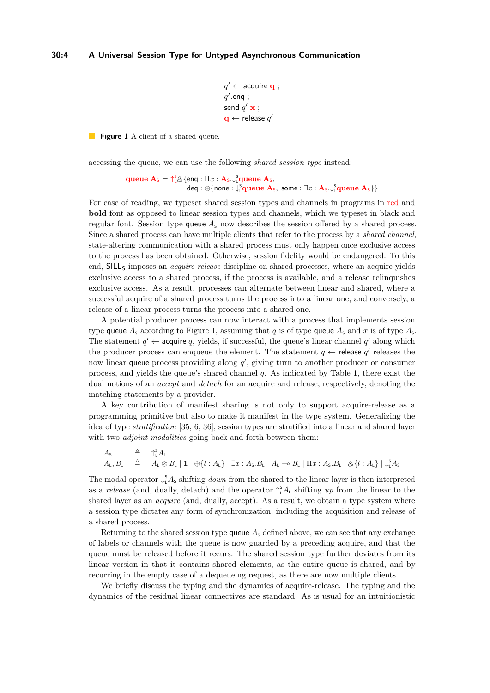#### <span id="page-3-0"></span>**30:4 A Universal Session Type for Untyped Asynchronous Communication**

```
q' \leftarrow acquire \mathbf{q} ;
q'.enq ;
send q' x ;
\mathbf{q} \leftarrow release q'
```
**Figure 1** A client of a shared queue.

accessing the queue, we can use the following *shared session type* instead:

**queue**  $\mathbf{A}_s = \int_{0}^{s} g \{ \text{eng} : \Pi x : \mathbf{A}_s \downarrow \int_{0}^{s} \text{queue } \mathbf{A}_s, \}$  $\mathsf{deq} : \oplus \{\mathsf{none} : \downarrow_\mathsf{L}^\mathsf{S}\mathbf{queue}\ \mathbf{A}_\mathsf{S},\ \mathsf{some} : \exists x : \mathbf{A}_\mathsf{S}.\downarrow_\mathsf{L}^\mathsf{S}\mathbf{queue}\ \mathbf{A}_\mathsf{S}\}\}$ 

For ease of reading, we typeset shared session types and channels in programs in red and **bold** font as opposed to linear session types and channels, which we typeset in black and regular font. Session type queue  $A<sub>s</sub>$  now describes the session offered by a shared process. Since a shared process can have multiple clients that refer to the process by a *shared channel*, state-altering communication with a shared process must only happen once exclusive access to the process has been obtained. Otherwise, session fidelity would be endangered. To this end, SILL<sub>S</sub> imposes an *acquire-release* discipline on shared processes, where an acquire yields exclusive access to a shared process, if the process is available, and a release relinquishes exclusive access. As a result, processes can alternate between linear and shared, where a successful acquire of a shared process turns the process into a linear one, and conversely, a release of a linear process turns the process into a shared one.

A potential producer process can now interact with a process that implements session type queue  $A_s$  according to Figure [1,](#page-3-0) assuming that *q* is of type queue  $A_s$  and *x* is of type  $A_s$ . The statement  $q' \leftarrow$  acquire q, yields, if successful, the queue's linear channel q' along which the producer process can enqueue the element. The statement  $q \leftarrow$  release  $q'$  releases the now linear queue process providing along  $q'$ , giving turn to another producer or consumer process, and yields the queue's shared channel *q*. As indicated by Table [1,](#page-2-0) there exist the dual notions of an *accept* and *detach* for an acquire and release, respectively, denoting the matching statements by a provider.

A key contribution of manifest sharing is not only to support acquire-release as a programming primitive but also to make it manifest in the type system. Generalizing the idea of type *stratification* [\[35,](#page-16-4) [6,](#page-15-8) [36\]](#page-16-5), session types are stratified into a linear and shared layer with two *adjoint modalities* going back and forth between them:

 $A_{\mathsf{S}}$   $\triangleq$   $\uparrow_{\mathsf{L}}^{\mathsf{S}} A_{\mathsf{L}}$  $A_{\mathsf{L}}, B_{\mathsf{L}} \triangleq A_{\mathsf{L}} \otimes B_{\mathsf{L}} | \mathbf{1} | \oplus \{ \overline{l : A_{\mathsf{L}}} \} | \exists x : A_{\mathsf{S}}. B_{\mathsf{L}} | A_{\mathsf{L}} \negthinspace \negthinspace \negthinspace B_{\mathsf{L}} | \Pi x : A_{\mathsf{S}}. B_{\mathsf{L}} | \otimes \{ \overline{l : A_{\mathsf{L}}} \} | \downarrow_{\mathsf{L}}^{\mathsf{S}} A_{\mathsf{S}}$ 

The modal operator  $\downarrow^s_1 A_s$  shifting *down* from the shared to the linear layer is then interpreted as a *release* (and, dually, detach) and the operator  $\int_{1}^{s} A_{\iota}$  shifting *up* from the linear to the shared layer as an *acquire* (and, dually, accept). As a result, we obtain a type system where a session type dictates any form of synchronization, including the acquisition and release of a shared process.

Returning to the shared session type queue  $A<sub>s</sub>$  defined above, we can see that any exchange of labels or channels with the queue is now guarded by a preceding acquire, and that the queue must be released before it recurs. The shared session type further deviates from its linear version in that it contains shared elements, as the entire queue is shared, and by recurring in the empty case of a dequeueing request, as there are now multiple clients.

We briefly discuss the typing and the dynamics of acquire-release. The typing and the dynamics of the residual linear connectives are standard. As is usual for an intuitionistic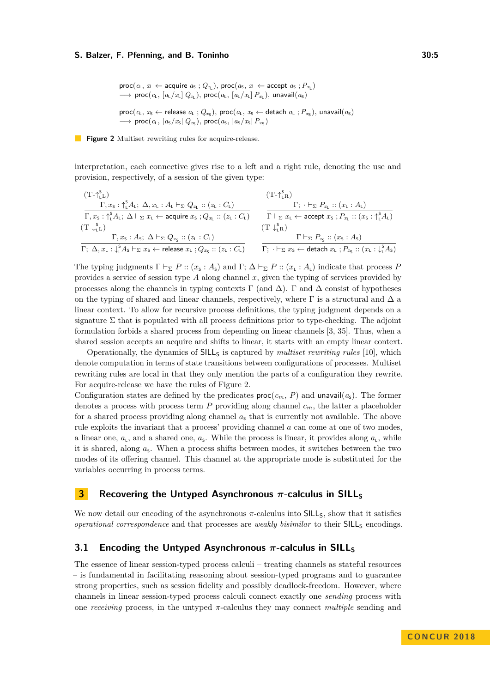```
\textsf{proc}(c_L, x_L \leftarrow \textsf{acquire } a_S; Q_{x_L}), \textsf{proc}(a_S, x_L \leftarrow \textsf{accept } a_S; P_{x_L})\longrightarrow proc(c_L, [a_L/x_L] Q_{x_L}), proc(a_L, [a_L/x_L] P_{x_L}), unavail(a_S)\textsf{proc}(c_L, x_S \leftarrow \textsf{release } a_L; Q_{x_S}), \textsf{proc}(a_L, x_S \leftarrow \textsf{detach } a_L; P_{x_S}), \textsf{unavail}(a_S)→ proc(c<sub>L</sub>, [a<sub>S</sub>/x<sub>S</sub>] Q<sub>xS</sub>), proc(a<sub>S</sub>, [a<sub>S</sub>/x<sub>S</sub>] P<sub>xS</sub>)
```
**Figure 2** Multiset rewriting rules for acquire-release.

interpretation, each connective gives rise to a left and a right rule, denoting the use and provision, respectively, of a session of the given type:

$$
\frac{\Gamma, x_5 : \uparrow_L^{\text{S}} A_L; \Delta, x_L : A_L \vdash_{\Sigma} Q_{x_L} :: (z_L : C_L)}{\Gamma, x_5 : \uparrow_L^{\text{S}} A_L; \Delta \vdash_{\Sigma} x_L \leftarrow \text{acquire } x_5 ; Q_{x_L} :: (z_L : C_L)} \qquad \qquad \Gamma; \cdot \vdash_{\Sigma} P_{x_L} :: (x_L : A_L)
$$
\n
$$
\frac{\Gamma; \cdot \vdash_{\Sigma} P_{x_L} :: (x_L : A_L)}{\Gamma \vdash_{\Sigma} x_L \leftarrow \text{accept } x_5 ; P_{x_L} :: (x_5 : \uparrow_L^{\text{S}} A_L)}
$$
\n
$$
\frac{\Gamma; \cdot \vdash_{\Sigma} P_{x_L} :: (x_L : A_L)}{\Gamma \vdash_{\Sigma} x_L \leftarrow \text{accept } x_5 ; P_{x_L} :: (x_5 : \uparrow_L^{\text{S}} A_L)}
$$
\n
$$
\frac{\Gamma \vdash_{\Sigma} P_{x_S} :: (x_S : A_S)}{\Gamma; \Delta, x_L : \downarrow_L^{\text{S}} A_S \vdash_{\Sigma} x_S \leftarrow \text{release } x_L ; Q_{x_S} :: (z_L : C_L)} \qquad \frac{\Gamma \vdash_{\Sigma} P_{x_S} :: (x_S : A_S)}{\Gamma; \cdot \vdash_{\Sigma} x_S \leftarrow \text{detect } x_L ; P_{x_S} :: (x_L : \downarrow_L^{\text{S}} A_S)}
$$

The typing judgments  $\Gamma \vdash_{\Sigma} P :: (x_{\varsigma} : A_{\varsigma})$  and  $\Gamma; \Delta \vdash_{\Sigma} P :: (x_{\varsigma} : A_{\varsigma})$  indicate that process *P* provides a service of session type *A* along channel *x*, given the typing of services provided by processes along the channels in typing contexts  $\Gamma$  (and  $\Delta$ ).  $\Gamma$  and  $\Delta$  consist of hypotheses on the typing of shared and linear channels, respectively, where  $\Gamma$  is a structural and  $\Delta$  a linear context. To allow for recursive process definitions, the typing judgment depends on a signature  $\Sigma$  that is populated with all process definitions prior to type-checking. The adjoint formulation forbids a shared process from depending on linear channels [\[3,](#page-15-4) [35\]](#page-16-4). Thus, when a shared session accepts an acquire and shifts to linear, it starts with an empty linear context.

Operationally, the dynamics of SILL<sup>S</sup> is captured by *multiset rewriting rules* [\[10\]](#page-15-9), which denote computation in terms of state transitions between configurations of processes. Multiset rewriting rules are local in that they only mention the parts of a configuration they rewrite. For acquire-release we have the rules of Figure [2.](#page-4-1)

Configuration states are defined by the predicates  $\text{proc}(c_m, P)$  and unavail $(a_s)$ . The former denotes a process with process term *P* providing along channel *cm*, the latter a placeholder for a shared process providing along channel  $a<sub>s</sub>$  that is currently not available. The above rule exploits the invariant that a process' providing channel *a* can come at one of two modes, a linear one,  $a_{\rm L}$ , and a shared one,  $a_{\rm S}$ . While the process is linear, it provides along  $a_{\rm L}$ , while it is shared, along  $a_{s}$ . When a process shifts between modes, it switches between the two modes of its offering channel. This channel at the appropriate mode is substituted for the variables occurring in process terms.

# <span id="page-4-0"></span>**3 Recovering the Untyped Asynchronous**  $\pi$ -calculus in SILL<sub>S</sub>

We now detail our encoding of the asynchronous  $\pi$ -calculus into SILL<sub>S</sub>, show that it satisfies *operational correspondence* and that processes are *weakly bisimilar* to their SILL<sub>S</sub> encodings.

# **3.1 Encoding the Untyped Asynchronous**  $\pi$ -calculus in SILL<sub>S</sub>

The essence of linear session-typed process calculi – treating channels as stateful resources – is fundamental in facilitating reasoning about session-typed programs and to guarantee strong properties, such as session fidelity and possibly deadlock-freedom. However, where channels in linear session-typed process calculi connect exactly one *sending* process with one *receiving* process, in the untyped *π*-calculus they may connect *multiple* sending and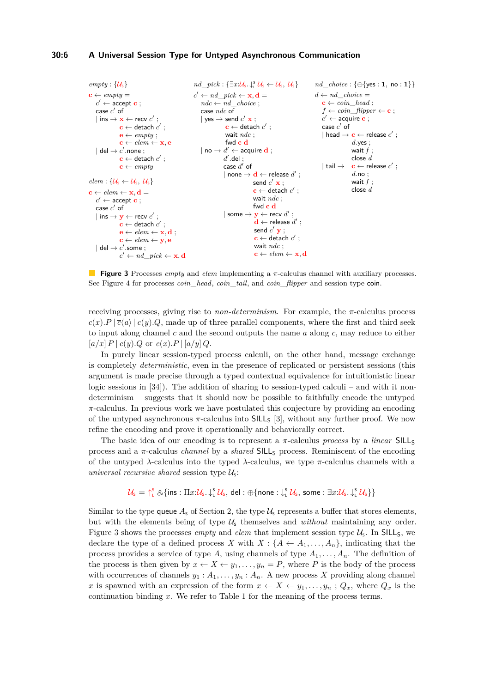#### **30:6 A Universal Session Type for Untyped Asynchronous Communication**

```
empty: \{\mathcal{U}_s\}c \leftarrow \text{empty} =c' \leftarrow \overline{\text{accept c}};
     case c' of
     | ins \rightarrow x \leftarrow recv c' ;
                   \mathbf{c} \leftarrow detach c' ;
                  \mathbf{e} \leftarrow \text{empty};
                  c \leftarrow elem \leftarrow x, e\vert del \rightarrow c' .none ;
                   \mathbf{c} \leftarrow detach c' ;
                  \mathbf{c} \leftarrow \textit{empty}elem: \{\mathcal{U}_s \leftarrow \mathcal{U}_s, \mathcal{U}_s\}c \leftarrow elem \leftarrow x, d =c' \leftarrow accept \mathbf{c} ;
     case c' of
     | ins \rightarrow y \leftarrow recv c' ;
                   \mathbf{c} \leftarrow detach c' ;
                  \mathbf{e} \leftarrow elem \leftarrow \mathbf{x}, \mathbf{d};
                  c \leftarrow elem \leftarrow y, e| del \rightarrow c'.some ;
                   c' \leftarrow nd\_pick \leftarrow \mathbf{x}, \mathbf{d}nd\_pick : {\exists x:\mathcal{U}_s.\downarrow^s_\iota \mathcal{U}_s \leftarrow \mathcal{U}_s, \mathcal{U}_s}
                                                                  c' \leftarrow nd\_pick \leftarrow \mathbf{x}, \mathbf{d} =ndc \leftarrow nd\_choice;case ndc of
                                                                      | yes \rightarrow send c' x ;
                                                                                      \mathbf{c} \leftarrow detach c' ;
                                                                                     wait ndc ;
                                                                                    fwd c d
                                                                      | no \rightarrow d' \leftarrow acquire d ;
                                                                                    d'.del ;
                                                                                    case d' of
                                                                                    | none \rightarrow d \leftarrow release d' ;
                                                                                                       send c' x ;
                                                                                                       \mathbf{c} \leftarrow detach c' ;
                                                                                                       wait ndc ;
                                                                                                      fwd c d
                                                                                    | some \rightarrow y \leftarrow recv d';
                                                                                                        \mathbf{d} \leftarrow release d' ;
                                                                                                        send c' \mathbf{y} ;
                                                                                                        \mathbf{c} \leftarrow detach c' ;
                                                                                                       wait ndc ;
                                                                                                       \mathbf{c} \leftarrow elem \leftarrow \mathbf{x}, \mathbf{d}nd_choice : {⊕{yes : 1, no : 1}}
                                                                                                                                             d \leftarrow nd \quad choice =c \leftarrow coin\_head;
                                                                                                                                                 f \leftarrow coin\_flipper \leftarrow c;
                                                                                                                                                  c' \leftarrow acquire c ;
                                                                                                                                                  \csc c' of
                                                                                                                                                  | head \rightarrow c \leftarrow release c' ;
                                                                                                                                                                    d.yes ;
                                                                                                                                                                    wait f ;
                                                                                                                                                                    close d
                                                                                                                                                  | tail \rightarrow c ← release c' ;
                                                                                                                                                                    d.no ;
                                                                                                                                                                    wait f ;
                                                                                                                                                                    close d
```
**Figure 3** Processes *empty* and *elem* implementing a *π*-calculus channel with auxiliary processes. See Figure [4](#page-6-0) for processes *coin*\_*head*, *coin*\_*tail*, and *coin*\_*flipper* and session type coin.

receiving processes, giving rise to *non-determinism*. For example, the *π*-calculus process  $c(x)$ .*P* |  $\overline{c}$ (*a*) |  $c(y)$ .*Q*, made up of three parallel components, where the first and third seek to input along channel *c* and the second outputs the name *a* along *c*, may reduce to either  $[a/x]$   $P \mid c(y)$ *, Q* or  $c(x)$ *, P*  $\mid [a/y]$ *Q*.

In purely linear session-typed process calculi, on the other hand, message exchange is completely *deterministic*, even in the presence of replicated or persistent sessions (this argument is made precise through a typed contextual equivalence for intuitionistic linear logic sessions in  $[34]$ . The addition of sharing to session-typed calculi – and with it nondeterminism – suggests that it should now be possible to faithfully encode the untyped *π*-calculus. In previous work we have postulated this conjecture by providing an encoding of the untyped asynchronous  $\pi$ -calculus into  $SILL_{S}$  [\[3\]](#page-15-4), without any further proof. We now refine the encoding and prove it operationally and behaviorally correct.

The basic idea of our encoding is to represent a *π*-calculus *process* by a *linear* SILL<sup>S</sup> process and a *π*-calculus *channel* by a *shared* SILL<sup>S</sup> process. Reminiscent of the encoding of the untyped *λ*-calculus into the typed *λ*-calculus, we type *π*-calculus channels with a *universal recursive shared* session type  $\mathcal{U}_s$ :

$$
\mathcal{U}_s = \bigcap_{L}^{s} \& \{ \text{ins} : \Pi x : \mathcal{U}_s, \downarrow_L^{s} \mathcal{U}_s, \text{ del } : \oplus \{ \text{none} : \downarrow_L^{s} \mathcal{U}_s, \text{ some } : \exists x : \mathcal{U}_s, \downarrow_L^{s} \mathcal{U}_s \} \}
$$

Similar to the type queue  $A_5$  of Section [2,](#page-1-1) the type  $U_5$  represents a buffer that stores elements, but with the elements being of type  $\mathcal{U}_s$  themselves and *without* maintaining any order. Figure [3](#page-5-0) shows the processes *empty* and *elem* that implement session type  $U_s$ . In SILL<sub>S</sub>, we declare the type of a defined process *X* with  $X: \{A \leftarrow A_1, \ldots, A_n\}$ , indicating that the process provides a service of type  $A$ , using channels of type  $A_1, \ldots, A_n$ . The definition of the process is then given by  $x \leftarrow X \leftarrow y_1, \ldots, y_n = P$ , where *P* is the body of the process with occurrences of channels  $y_1 : A_1, \ldots, y_n : A_n$ . A new process X providing along channel *x* is spawned with an expression of the form  $x \leftarrow X \leftarrow y_1, \ldots, y_n$ ;  $Q_x$ , where  $Q_x$  is the continuation binding *x*. We refer to Table [1](#page-2-0) for the meaning of the process terms.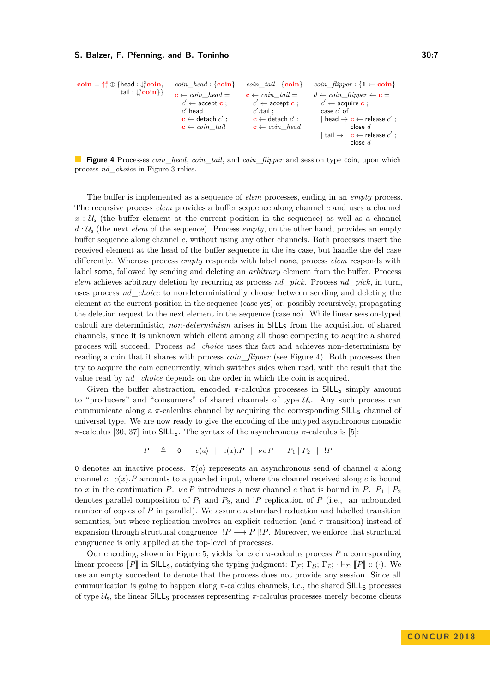<span id="page-6-0"></span>
$$
\begin{array}{llll}\textbf{coin}=\uparrow_{\text{L}}^{\text{s}}\oplus\left\{\text{head}:\downarrow_{\text{L}}^{\text{s}}\textbf{coin}, & coin\_head:\left\{\textbf{coin}\right\}& coin\_tail:\left\{\textbf{coin}\right\}& coin\_f \text{it{upper}: \left\{1 \leftarrow \textbf{coin}\right\}\\ &\textbf{tail}:\downarrow_{\text{L}}^{\text{s}}\textbf{coin}\right\}\right\}&\textbf{c} \leftarrow coin\_head = & \textbf{c} \leftarrow coin\_tail = & d \leftarrow coin\_f \text{it{upper} \leftarrow \textbf{c} = \\ & c' \leftarrow \textbf{accept} \textbf{c} \ ; & c' \leftarrow \textbf{accept} \textbf{c} \ ; & c' \leftarrow \textbf{accept} \textbf{c} \ ; \\ & c \leftarrow \textbf{dest} \textbf{c} \ ; & c \leftarrow \textbf{det} \textbf{c} \ ; & \textbf{case} \ ^{\prime} \textbf{ of} \\ & \textbf{c} \leftarrow coin\_tail & \textbf{case} \ ^{\prime} \ ; & \textbf{head} \rightarrow \textbf{c} \leftarrow \textbf{release} \ {c'} \ ; \\ & \textbf{c} \leftarrow coin\_tail & \textbf{c} \leftarrow coin\_head & \textbf{tail} \rightarrow \textbf{c} \leftarrow \textbf{release} \ {c'} \ ; \\ & \textbf{else} \ d & \textbf{tail} \rightarrow \textbf{c} \leftarrow \textbf{release} \ {c'} \ ; \\ & \textbf{close} \ d & \textbf{to} \end{array}
$$

**Figure 4** Processes *coin*\_*head*, *coin*\_*tail*, and *coin*\_*flipper* and session type coin, upon which process *nd*\_*choice* in Figure [3](#page-5-0) relies.

The buffer is implemented as a sequence of *elem* processes, ending in an *empty* process. The recursive process *elem* provides a buffer sequence along channel *c* and uses a channel  $x : U<sub>s</sub>$  (the buffer element at the current position in the sequence) as well as a channel  $d: U_{\mathsf{s}}$  (the next *elem* of the sequence). Process *empty*, on the other hand, provides an empty buffer sequence along channel *c*, without using any other channels. Both processes insert the received element at the head of the buffer sequence in the ins case, but handle the del case differently. Whereas process *empty* responds with label none, process *elem* responds with label some, followed by sending and deleting an *arbitrary* element from the buffer. Process *elem* achieves arbitrary deletion by recurring as process *nd*\_*pick*. Process *nd*\_*pick*, in turn, uses process *nd*\_*choice* to nondeterministically choose between sending and deleting the element at the current position in the sequence (case yes) or, possibly recursively, propagating the deletion request to the next element in the sequence (case no). While linear session-typed calculi are deterministic, *non-determinism* arises in SILL<sub>S</sub> from the acquisition of shared channels, since it is unknown which client among all those competing to acquire a shared process will succeed. Process *nd*\_*choice* uses this fact and achieves non-determinism by reading a coin that it shares with process *coin*\_*flipper* (see Figure [4\)](#page-6-0). Both processes then try to acquire the coin concurrently, which switches sides when read, with the result that the value read by *nd*\_*choice* depends on the order in which the coin is acquired.

Given the buffer abstraction, encoded  $\pi$ -calculus processes in SILL<sub>S</sub> simply amount to "producers" and "consumers" of shared channels of type  $\mathcal{U}_s$ . Any such process can communicate along a  $\pi$ -calculus channel by acquiring the corresponding SILL<sub>S</sub> channel of universal type. We are now ready to give the encoding of the untyped asynchronous monadic *π*-calculus [\[30,](#page-16-7) [37\]](#page-16-8) into SILL<sub>S</sub>. The syntax of the asynchronous *π*-calculus is [\[5\]](#page-15-10):

$$
P \triangleq \quad 0 \mid \overline{c}\langle a \rangle \mid c(x).P \mid \nu c P \mid P_1 \mid P_2 \mid P
$$

0 denotes an inactive process.  $\bar{c}\langle a \rangle$  represents an asynchronous send of channel *a* along channel *c.*  $c(x)$ . *P* amounts to a guarded input, where the channel received along *c* is bound to *x* in the continuation *P*. *vc P* introduces a new channel *c* that is bound in *P*.  $P_1 | P_2$ denotes parallel composition of  $P_1$  and  $P_2$ , and *!P* replication of  $P$  (i.e., an unbounded number of copies of *P* in parallel). We assume a standard reduction and labelled transition semantics, but where replication involves an explicit reduction (and *τ* transition) instead of expansion through structural congruence:  $!P \longrightarrow P |!P$ . Moreover, we enforce that structural congruence is only applied at the top-level of processes.

Our encoding, shown in Figure [5,](#page-7-0) yields for each  $\pi$ -calculus process  $P$  a corresponding linear process  $\llbracket P \rrbracket$  in SILL<sub>S</sub>, satisfying the typing judgment:  $\Gamma_{\mathcal{F}}$ ;  $\Gamma_{\mathcal{B}}$ ;  $\Gamma_{\mathcal{I}}$ ;  $\cdot \vdash_{\Sigma} \llbracket P \rrbracket$  :: (·). We use an empty succedent to denote that the process does not provide any session. Since all communication is going to happen along π-calculus channels, i.e., the shared SILL<sub>S</sub> processes of type  $U_s$ , the linear SILL<sub>S</sub> processes representing  $\pi$ -calculus processes merely become clients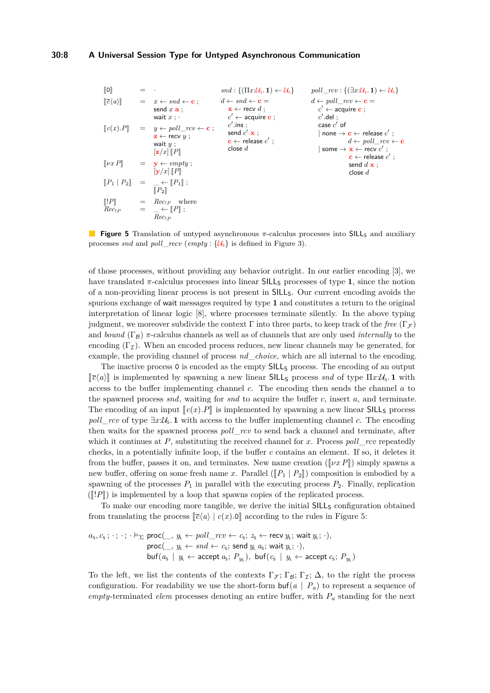<span id="page-7-0"></span><sup>J</sup>0<sup>K</sup> <sup>=</sup> · <sup>J</sup>*c*h*a*i<sup>K</sup> <sup>=</sup> *<sup>x</sup>* <sup>←</sup> *snd* <sup>←</sup> **<sup>c</sup>** ; send *x* **a** ; wait *x* ; · <sup>J</sup>*c*(*x*)*.P*<sup>K</sup> <sup>=</sup> *<sup>y</sup>* <sup>←</sup> *poll*\_*rcv* <sup>←</sup> **<sup>c</sup>** ; **z** ← recv *y* ; wait *y* ; [**z***/x*] <sup>J</sup>*P*<sup>K</sup> <sup>J</sup>*νx P*<sup>K</sup> <sup>=</sup> **<sup>y</sup>** <sup>←</sup> *empty* ; [**y***/x*] <sup>J</sup>*P*<sup>K</sup> <sup>J</sup>*P*<sup>1</sup> <sup>|</sup> *<sup>P</sup>*<sup>2</sup><sup>K</sup> <sup>=</sup> \_ <sup>←</sup> <sup>J</sup>*P*<sup>1</sup><sup>K</sup> ; <sup>J</sup>*P*<sup>2</sup><sup>K</sup> <sup>J</sup>!*P*<sup>K</sup> <sup>=</sup> *Rec*!*<sup>P</sup>* where *Rec*!*<sup>P</sup>* <sup>=</sup> \_ <sup>←</sup> <sup>J</sup>*P*<sup>K</sup> ; *Rec*!*<sup>P</sup> snd* : {(Π*x*:US*.* **1**) ← US} *d* ← *snd* ← **c** = **x** ← recv *d* ; *c* <sup>0</sup> ← acquire **c** ; *c* 0 *.*ins ; send *c* <sup>0</sup> **x** ; **c** ← release *c* 0 ; close *d poll*\_*rcv* : {(∃*x*:US*.* **1**) ← US} *d* ← *poll*\_*rcv* ← **c** = *c* <sup>0</sup> ← acquire **c** ; *c* 0 *.*del ; case *c* 0 of | none → **c** ← release *c* 0 ; *d* ← *poll*\_*rcv* ← **c** | some → **x** ← recv *c* 0 ; **c** ← release *c* 0 ; send *d* **x** ; close *d*

**Figure 5** Translation of untyped asynchronous  $\pi$ -calculus processes into SILL<sub>S</sub> and auxiliary processes *snd* and *poll\_recv* (*empty* :  $\{U_s\}$  is defined in Figure [3\)](#page-5-0).

of those processes, without providing any behavior outright. In our earlier encoding [\[3\]](#page-15-4), we have translated  $\pi$ -calculus processes into linear SILL<sub>S</sub> processes of type 1, since the notion of a non-providing linear process is not present in SILLS. Our current encoding avoids the spurious exchange of wait messages required by type **1** and constitutes a return to the original interpretation of linear logic [\[8\]](#page-15-1), where processes terminate silently. In the above typing judgment, we moreover subdivide the context  $\Gamma$  into three parts, to keep track of the *free*  $(\Gamma_{\mathcal{F}})$ and *bound*  $(\Gamma_B)$   $\pi$ -calculus channels as well as of channels that are only used *internally* to the encoding  $(\Gamma_{\mathcal{I}})$ . When an encoded process reduces, new linear channels may be generated, for example, the providing channel of process *nd*\_*choice*, which are all internal to the encoding.

The inactive process 0 is encoded as the empty  $SILL_{S}$  process. The encoding of an output  $\llbracket \overline{c}(a) \rrbracket$  is implemented by spawning a new linear SILLs process *snd* of type  $\Pi x:\mathcal{U}_s$ . **1** with access to the buffer implementing channel *c*. The encoding then sends the channel *a* to the spawned process *snd*, waiting for *snd* to acquire the buffer *c*, insert *a*, and terminate. The encoding of an input  $\llbracket c(x).P \rrbracket$  is implemented by spawning a new linear SILL<sub>S</sub> process  $poll\_rcv$  of type  $\exists x:\mathcal{U}_s$ . **1** with access to the buffer implementing channel *c*. The encoding then waits for the spawned process *poll*\_*rcv* to send back a channel and terminate, after which it continues at *P*, substituting the received channel for *x*. Process *poll*\_*rcv* repeatedly checks, in a potentially infinite loop, if the buffer *c* contains an element. If so, it deletes it from the buffer, passes it on, and terminates. New name creation ( $\lbrack \lbrack \nu x \rbrack \rbrack$ ) simply spawns a new buffer, offering on some fresh name *x*. Parallel  $( [P_1 | P_2 ] ]$  composition is embodied by a spawning of the processes  $P_1$  in parallel with the executing process  $P_2$ . Finally, replication  $(\Vert P \Vert)$  is implemented by a loop that spawns copies of the replicated process.

To make our encoding more tangible, we derive the initial  $SILL_{S}$  configuration obtained from translating the process  $\lbrack \lbrack \bar{c}(a) \rbrack$   $\lbrack c(x).0 \rbrack$  according to the rules in Figure [5:](#page-7-0)

$$
a_{s}, c_{s} ; \cdot ; \cdot ; \cdot \vDash_{\Sigma} \text{proc}(\_, y_{\text{L}} \leftarrow poll\_rcv \leftarrow c_{s}; z_{s} \leftarrow \text{recv } y_{\text{L}}; \text{ wait } y_{\text{L}}; \cdot),
$$
  
\n
$$
\text{proc}(\_, y_{\text{L}} \leftarrow \text{snd} \leftarrow c_{s}; \text{ send } y_{\text{L}} a_{s}; \text{ wait } y_{\text{L}}; \cdot),
$$
  
\n
$$
\text{buf}(a_{s} \mid y_{\text{L}} \leftarrow \text{accept } a_{s}; P_{y_{\text{L}}}), \text{ buf}(c_{s} \mid y_{\text{L}} \leftarrow \text{accept } c_{s}; P_{y_{\text{L}}})
$$

To the left, we list the contents of the contexts  $\Gamma_{\mathcal{F}}$ ;  $\Gamma_{\mathcal{B}}$ ;  $\Gamma_{\mathcal{I}}$ ;  $\Delta$ , to the right the process configuration. For readability we use the short-form  $\text{buf}(a \mid P_a)$  to represent a sequence of *empty*-terminated *elem* processes denoting an entire buffer, with *P<sup>a</sup>* standing for the next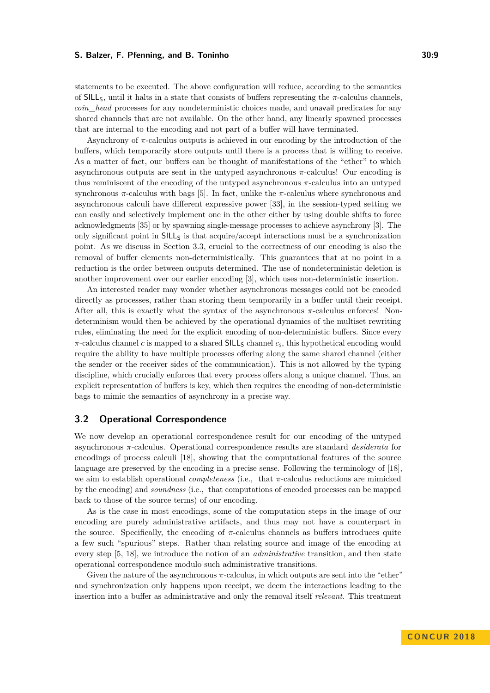statements to be executed. The above configuration will reduce, according to the semantics of SILLS, until it halts in a state that consists of buffers representing the *π*-calculus channels, *coin*\_*head* processes for any nondeterministic choices made, and unavail predicates for any shared channels that are not available. On the other hand, any linearly spawned processes that are internal to the encoding and not part of a buffer will have terminated.

Asynchrony of  $\pi$ -calculus outputs is achieved in our encoding by the introduction of the buffers, which temporarily store outputs until there is a process that is willing to receive. As a matter of fact, our buffers can be thought of manifestations of the "ether" to which asynchronous outputs are sent in the untyped asynchronous *π*-calculus! Our encoding is thus reminiscent of the encoding of the untyped asynchronous *π*-calculus into an untyped synchronous *π*-calculus with bags [\[5\]](#page-15-10). In fact, unlike the *π*-calculus where synchronous and asynchronous calculi have different expressive power [\[33\]](#page-16-9), in the session-typed setting we can easily and selectively implement one in the other either by using double shifts to force acknowledgments [\[35\]](#page-16-4) or by spawning single-message processes to achieve asynchrony [\[3\]](#page-15-4). The only significant point in  $SILL<sub>S</sub>$  is that acquire/accept interactions must be a synchronization point. As we discuss in Section [3.3,](#page-10-0) crucial to the correctness of our encoding is also the removal of buffer elements non-deterministically. This guarantees that at no point in a reduction is the order between outputs determined. The use of nondeterministic deletion is another improvement over our earlier encoding [\[3\]](#page-15-4), which uses non-deterministic insertion.

An interested reader may wonder whether asynchronous messages could not be encoded directly as processes, rather than storing them temporarily in a buffer until their receipt. After all, this is exactly what the syntax of the asynchronous *π*-calculus enforces! Nondeterminism would then be achieved by the operational dynamics of the multiset rewriting rules, eliminating the need for the explicit encoding of non-deterministic buffers. Since every  $\pi$ -calculus channel *c* is mapped to a shared  $SILL_{S}$  channel  $c_{s}$ , this hypothetical encoding would require the ability to have multiple processes offering along the same shared channel (either the sender or the receiver sides of the communication). This is not allowed by the typing discipline, which crucially enforces that every process offers along a unique channel. Thus, an explicit representation of buffers is key, which then requires the encoding of non-deterministic bags to mimic the semantics of asynchrony in a precise way.

### **3.2 Operational Correspondence**

We now develop an operational correspondence result for our encoding of the untyped asynchronous *π*-calculus. Operational correspondence results are standard *desiderata* for encodings of process calculi [\[18\]](#page-15-11), showing that the computational features of the source language are preserved by the encoding in a precise sense. Following the terminology of [\[18\]](#page-15-11), we aim to establish operational *completeness* (i.e., that *π*-calculus reductions are mimicked by the encoding) and *soundness* (i.e., that computations of encoded processes can be mapped back to those of the source terms) of our encoding.

As is the case in most encodings, some of the computation steps in the image of our encoding are purely administrative artifacts, and thus may not have a counterpart in the source. Specifically, the encoding of  $\pi$ -calculus channels as buffers introduces quite a few such "spurious" steps. Rather than relating source and image of the encoding at every step [\[5,](#page-15-10) [18\]](#page-15-11), we introduce the notion of an *administrative* transition, and then state operational correspondence modulo such administrative transitions.

Given the nature of the asynchronous  $\pi$ -calculus, in which outputs are sent into the "ether" and synchronization only happens upon receipt, we deem the interactions leading to the insertion into a buffer as administrative and only the removal itself *relevant*. This treatment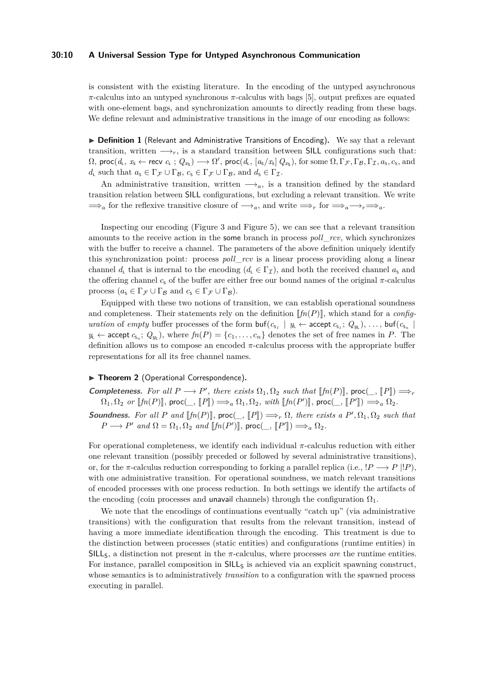#### **30:10 A Universal Session Type for Untyped Asynchronous Communication**

is consistent with the existing literature. In the encoding of the untyped asynchronous *π*-calculus into an untyped synchronous *π*-calculus with bags [\[5\]](#page-15-10), output prefixes are equated with one-element bags, and synchronization amounts to directly reading from these bags. We define relevant and administrative transitions in the image of our encoding as follows:

<span id="page-9-0"></span>▶ Definition 1 (Relevant and Administrative Transitions of Encoding). We say that a relevant transition, written  $\longrightarrow_r$ , is a standard transition between SILL configurations such that:  $\Omega$ , proc $(d_{\text{t}}, x_{\text{s}} \leftarrow \text{recv } c_{\text{t}}$ ;  $Q_{x_{\text{s}}}) \longrightarrow \Omega'$ , proc $(d_{\text{t}}, [a_{\text{s}}/x_{\text{s}}] Q_{x_{\text{s}}})$ , for some  $\Omega, \Gamma_{\mathcal{F}}, \Gamma_{\mathcal{B}}, \Gamma_{\mathcal{I}}, a_{\text{s}}, c_{\text{s}}$ , and *d*<sub>L</sub> such that  $a_S \in \Gamma_{\mathcal{F}} \cup \Gamma_{\mathcal{B}}$ ,  $c_S \in \Gamma_{\mathcal{F}} \cup \Gamma_{\mathcal{B}}$ , and  $d_S \in \Gamma_{\mathcal{I}}$ .

An administrative transition, written  $\longrightarrow_a$ , is a transition defined by the standard transition relation between SILL configurations, but excluding a relevant transition. We write  $\implies_a$  for the reflexive transitive closure of  $\longrightarrow_a$ , and write  $\implies_r$  for  $\implies_a \longrightarrow_r \implies_a$ .

Inspecting our encoding (Figure [3](#page-5-0) and Figure [5\)](#page-7-0), we can see that a relevant transition amounts to the receive action in the some branch in process *poll*\_*rcv*, which synchronizes with the buffer to receive a channel. The parameters of the above definition uniquely identify this synchronization point: process *poll*\_*rcv* is a linear process providing along a linear channel  $d_{\text{l}}$  that is internal to the encoding  $(d_{\text{l}} \in \Gamma_T)$ , and both the received channel  $a_{\text{s}}$  and the offering channel  $c<sub>s</sub>$  of the buffer are either free our bound names of the original  $\pi$ -calculus process  $(a_s \in \Gamma_{\mathcal{F}} \cup \Gamma_{\mathcal{B}} \text{ and } c_s \in \Gamma_{\mathcal{F}} \cup \Gamma_{\mathcal{B}}).$ 

Equipped with these two notions of transition, we can establish operational soundness and completeness. Their statements rely on the definition  $\llbracket f n(P) \rrbracket$ , which stand for a *configuration* of *empty* buffer processes of the form  $\text{buf}(c_{s_1} \mid y_L \leftarrow \text{accept } c_{s_1}; Q_{y_L}), \ldots, \text{buf}(c_{s_n} \mid \text{query } c_{s_1}; Q_{y_L})$  $y_L \leftarrow$  accept  $c_{s_n}$ ;  $Q_{y_L}$ ), where  $fn(P) = \{c_1, \ldots, c_n\}$  denotes the set of free names in *P*. The definition allows us to compose an encoded *π*-calculus process with the appropriate buffer representations for all its free channel names.

#### ▶ Theorem 2 (Operational Correspondence).

**Completeness.** For all  $P \longrightarrow P'$ , there exists  $\Omega_1, \Omega_2$  such that  $[\![\![f_n(P)]\!]$ , proc $(\_ [\![P]\!]) \Longrightarrow_r$ <br>  $\Omega_1, \Omega_2 \Longrightarrow_{\Pi} [\![f_n(P)]\!]$ , proc $(\_ [\![P]\!]) \Longrightarrow_r$  $\Omega_1, \Omega_2$  *or*  $\llbracket f n(P) \rrbracket$ , proc $(\_\,, \llbracket P \rrbracket) \Longrightarrow_a \Omega_1, \Omega_2$ , with  $\llbracket f n(P') \rrbracket$ , proc $(\_\,, \llbracket P' \rrbracket) \Longrightarrow_a \Omega_2$ . **Soundness.** For all P and  $[\![fn(P)]\!]$ ,  $\mathsf{proc}(\_,\![P]\!] \implies_r \Omega$ , there exists a  $P', \Omega_1, \Omega_2$  such that  $P \longrightarrow P'$  *and*  $\Omega = \Omega_1, \Omega_2$  *and*  $[\![fn(P')]\!]$ *,*  $proc(\_, [\![P']\!]) \Longrightarrow_a \Omega_2$ *.* 

For operational completeness, we identify each individual *π*-calculus reduction with either one relevant transition (possibly preceded or followed by several administrative transitions), or, for the *π*-calculus reduction corresponding to forking a parallel replica (i.e.,  $P \rightarrow P | P$ ), with one administrative transition. For operational soundness, we match relevant transitions of encoded processes with one process reduction. In both settings we identify the artifacts of the encoding (coin processes and unavail channels) through the configuration  $\Omega_1$ .

We note that the encodings of continuations eventually "catch up" (via administrative transitions) with the configuration that results from the relevant transition, instead of having a more immediate identification through the encoding. This treatment is due to the distinction between processes (static entities) and configurations (runtime entities) in SILLS, a distinction not present in the *π*-calculus, where processes *are* the runtime entities. For instance, parallel composition in  $SILL<sub>S</sub>$  is achieved via an explicit spawning construct, whose semantics is to administratively *transition* to a configuration with the spawned process executing in parallel.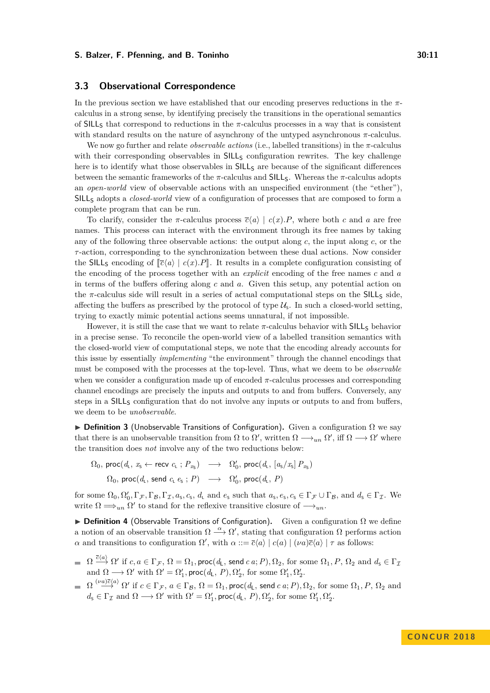# <span id="page-10-0"></span>**3.3 Observational Correspondence**

In the previous section we have established that our encoding preserves reductions in the *π*calculus in a strong sense, by identifying precisely the transitions in the operational semantics of SILL<sub>S</sub> that correspond to reductions in the  $\pi$ -calculus processes in a way that is consistent with standard results on the nature of asynchrony of the untyped asynchronous *π*-calculus.

We now go further and relate *observable actions* (i.e., labelled transitions) in the *π*-calculus with their corresponding observables in  $SILL_5$  configuration rewrites. The key challenge here is to identify what those observables in  $SILL<sub>S</sub>$  are because of the significant differences between the semantic frameworks of the  $\pi$ -calculus and SILL<sub>S</sub>. Whereas the  $\pi$ -calculus adopts an *open-world* view of observable actions with an unspecified environment (the "ether"), SILL<sup>S</sup> adopts a *closed-world* view of a configuration of processes that are composed to form a complete program that can be run.

To clarify, consider the *π*-calculus process  $\overline{c}\langle a \rangle | c(x).P$ , where both *c* and *a* are free names. This process can interact with the environment through its free names by taking any of the following three observable actions: the output along *c*, the input along *c*, or the *τ* -action, corresponding to the synchronization between these dual actions. Now consider the SILL<sub>S</sub> encoding of  $\lceil \overline{c} \langle a \rangle \rceil$   $c(x)$ . P. It results in a complete configuration consisting of the encoding of the process together with an *explicit* encoding of the free names *c* and *a* in terms of the buffers offering along *c* and *a*. Given this setup, any potential action on the  $\pi$ -calculus side will result in a series of actual computational steps on the  $SILL_{S}$  side, affecting the buffers as prescribed by the protocol of type  $\mathcal{U}_s$ . In such a closed-world setting, trying to exactly mimic potential actions seems unnatural, if not impossible.

However, it is still the case that we want to relate π-calculus behavior with SILL<sub>S</sub> behavior in a precise sense. To reconcile the open-world view of a labelled transition semantics with the closed-world view of computational steps, we note that the encoding already accounts for this issue by essentially *implementing* "the environment" through the channel encodings that must be composed with the processes at the top-level. Thus, what we deem to be *observable* when we consider a configuration made up of encoded *π*-calculus processes and corresponding channel encodings are precisely the inputs and outputs to and from buffers. Conversely, any steps in a SILL<sub>S</sub> configuration that do not involve any inputs or outputs to and from buffers, we deem to be *unobservable*.

**▶ Definition 3** (Unobservable Transitions of Configuration). Given a configuration Ω we say that there is an unobservable transition from  $\Omega$  to  $\Omega'$ , written  $\Omega \longrightarrow_{un} \Omega'$ , iff  $\Omega \longrightarrow \Omega'$  where the transition does *not* involve any of the two reductions below:

 $\Omega_0$ , proc $(d_\mathsf{L}, x_\mathsf{S} \leftarrow \textsf{recv} \ c_\mathsf{L} ; P_{x_\mathsf{S}}) \longrightarrow \Omega'_0$ , proc $(d_\mathsf{L}, [a_\mathsf{S}/x_\mathsf{S}] P_{x_\mathsf{S}})$  $\Omega_0$ , proc $(d_\mathsf{L}$ , send  $c_\mathsf{L} e_\mathsf{s}$ ;  $P) \longrightarrow \Omega'_0$ , proc $(d_\mathsf{L}, P)$ 

for some  $\Omega_0, \Omega'_0, \Gamma_{\mathcal{F}}, \Gamma_{\mathcal{B}}, \Gamma_{\mathcal{I}}, a_s, c_s, d_\mathsf{L}$  and  $e_\mathsf{s}$  such that  $a_\mathsf{s}, e_\mathsf{s}, c_\mathsf{s} \in \Gamma_{\mathcal{F}} \cup \Gamma_{\mathcal{B}},$  and  $d_\mathsf{s} \in \Gamma_{\mathcal{I}}$ . We write  $\Omega \Longrightarrow_{un} \Omega'$  to stand for the reflexive transitive closure of  $\longrightarrow_{un}$ .

**▶ Definition 4** (Observable Transitions of Configuration). Given a configuration Ω we define a notion of an observable transition  $\Omega \stackrel{\alpha}{\longrightarrow} \Omega'$ , stating that configuration  $\Omega$  performs action *α* and transitions to configuration  $\Omega'$ , with  $\alpha ::= \overline{c}\langle a \rangle | c(a) | (\nu a)\overline{c}\langle a \rangle | \tau$  as follows:

- $\Omega\stackrel{\overline{c}\langle a\rangle}{\longrightarrow} \Omega'$  if  $c,a\in\Gamma_{\mathcal{F}},$   $\Omega=\Omega_{1},$  proc $(d_{\mathsf{L}},$  send  $c$   $a;P),$   $\Omega_{2},$  for some  $\Omega_{1},$   $P,$   $\Omega_{2}$  and  $d_{\mathsf{s}}\in\Gamma_{\mathcal{I}}$ and  $\Omega \longrightarrow \Omega'$  with  $\Omega' = \Omega'_1$ , proc( $d_L$ ,  $P$ ),  $\Omega'_2$ , for some  $\Omega'_1$ ,  $\Omega'_2$ .
- $\Omega \stackrel{(\nu a)\overline{c}\langle a\rangle}{\longrightarrow} \Omega' \,\, \text{if} \,\, c\in\Gamma_{\mathcal{F}}, \, a\in\Gamma_{\mathcal{B}}, \, \Omega=\Omega_1, \mathsf{proc}(d_{\mathsf{L}}, \mathsf{send} \,\, c\,a; P), \Omega_2, \,\text{for some} \,\, \Omega_1, P, \, \Omega_2 \,\, \text{and}$  $d_{\mathsf{s}} \in \Gamma_{\mathcal{I}} \text{ and } \Omega \longrightarrow \Omega' \text{ with } \Omega' = \Omega'_{1}, \mathsf{proc}(d_{\mathsf{L}}, P), \Omega'_{2}, \text{ for some } \Omega'_{1}, \Omega'_{2}.$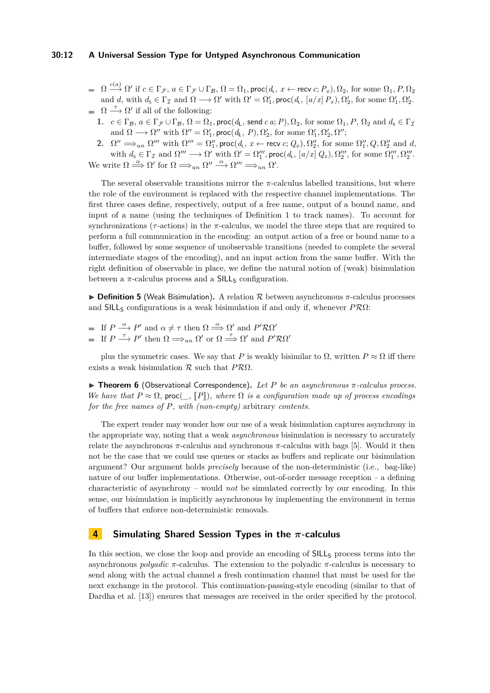#### **30:12 A Universal Session Type for Untyped Asynchronous Communication**

- $\Omega \stackrel{c(a)}{\longrightarrow} \Omega' \text{ if } c \in \Gamma_{\mathcal{F}}, \ a \in \Gamma_{\mathcal{F}} \cup \Gamma_{\mathcal{B}}, \ \Omega = \Omega_1, \ \textsf{proc}(d_{\textsf{L}}, \ x \leftarrow \textsf{recv}\ c; P_x), \Omega_2, \ \textnormal{for some} \ \Omega_1, P, \Omega_2$ and *d*, with  $d_s \in \Gamma_{\mathcal{I}}$  and  $\Omega \longrightarrow \Omega'$  with  $\Omega' = \Omega'_1$ , proc $(d_{\mathsf{L}}, [a/x] P_x), \Omega'_2$ , for some  $\Omega'_1, \Omega'_2$ .  $\Omega \longrightarrow \Omega'$  if all of the following:
	- **1.**  $c \in \Gamma_B$ ,  $a \in \Gamma_\mathcal{F} \cup \Gamma_B$ ,  $\Omega = \Omega_1$ , proc( $d_L$ , send  $c \in \Omega$ ,  $P$ ),  $\Omega_2$ , for some  $\Omega_1$ ,  $P$ ,  $\Omega_2$  and  $d_S \in \Gamma_\mathcal{I}$ and  $\Omega \longrightarrow \Omega''$  with  $\Omega'' = \Omega'_1$ , proc( $d_L$ ,  $P$ ),  $\Omega'_2$ , for some  $\Omega'_1$ ,  $\Omega'_2$ ,  $\Omega''$ ;
	- **2.**  $\Omega'' \implies_{un} \Omega'''$  with  $\Omega''' = \Omega''_1$ , proc $(d_L, x \leftarrow \text{recv } c; Q_x), \Omega''_2$ , for some  $\Omega''_1, Q, \Omega''_2$  and  $d$ , with  $d_s \in \Gamma_{\mathcal{I}}$  and  $\Omega''' \longrightarrow \Omega'$  with  $\Omega' = \Omega''_1$ , proc $(d_t, [a/x], Q_x), \Omega'''_2$ , for some  $\Omega'''_1, \Omega'''_2$ .

We write  $\Omega \stackrel{\alpha}{\Longrightarrow} \Omega'$  for  $\Omega \Longrightarrow_{un} \Omega'' \stackrel{\alpha}{\Longrightarrow} \Omega''' \Longrightarrow_{un} \Omega'.$ 

The several observable transitions mirror the  $\pi$ -calculus labelled transitions, but where the role of the environment is replaced with the respective channel implementations. The first three cases define, respectively, output of a free name, output of a bound name, and input of a name (using the techniques of Definition [1](#page-9-0) to track names). To account for synchronizations ( $\tau$ -actions) in the  $\pi$ -calculus, we model the three steps that are required to perform a full communication in the encoding: an output action of a free or bound name to a buffer, followed by some sequence of unobservable transitions (needed to complete the several intermediate stages of the encoding), and an input action from the same buffer. With the right definition of observable in place, we define the natural notion of (weak) bisimulation between a  $\pi$ -calculus process and a SILL<sub>S</sub> configuration.

I **Definition 5** (Weak Bisimulation)**.** A relation R between asynchronous *π*-calculus processes and SILL<sup>S</sup> configurations is a weak bisimulation if and only if, whenever *P*RΩ:

If  $P \stackrel{\alpha}{\longrightarrow} P'$  and  $\alpha \neq \tau$  then  $\Omega \stackrel{\alpha}{\Longrightarrow} \Omega'$  and  $P' \mathcal{R} \Omega'$ If  $P \stackrel{\tau}{\longrightarrow} P'$  then  $\Omega \Longrightarrow_{un} \Omega'$  or  $\Omega \stackrel{\tau}{\Longrightarrow} \Omega'$  and  $P' \mathcal{R} \Omega'$ 

plus the symmetric cases. We say that *P* is weakly bisimilar to  $\Omega$ , written  $P \approx \Omega$  iff there exists a weak bisimulation R such that *P*RΩ.

I **Theorem 6** (Observational Correspondence)**.** *Let P be an asynchronous π-calculus process. We have that*  $P \approx \Omega$ , proc( *\_,*  $[P]$ )*, where*  $\Omega$  *is a configuration made up of process encodings for the free names of P, with (non-empty)* arbitrary *contents.*

The expert reader may wonder how our use of a weak bisimulation captures asynchrony in the appropriate way, noting that a weak *asynchronous* bisimulation is necessary to accurately relate the asynchronous  $\pi$ -calculus and synchronous  $\pi$ -calculus with bags [\[5\]](#page-15-10). Would it then not be the case that we could use queues or stacks as buffers and replicate our bisimulation argument? Our argument holds *precisely* because of the non-deterministic (i.e., bag-like) nature of our buffer implementations. Otherwise, out-of-order message reception – a defining characteristic of asynchrony – would *not* be simulated correctly by our encoding. In this sense, our bisimulation is implicitly asynchronous by implementing the environment in terms of buffers that enforce non-deterministic removals.

# <span id="page-11-0"></span>**4 Simulating Shared Session Types in the** *π***-calculus**

In this section, we close the loop and provide an encoding of  $SILL<sub>S</sub>$  process terms into the asynchronous *polyadic*  $\pi$ -calculus. The extension to the polyadic  $\pi$ -calculus is necessary to send along with the actual channel a fresh continuation channel that must be used for the next exchange in the protocol. This continuation-passing-style encoding (similar to that of Dardha et al. [\[13\]](#page-15-12)) ensures that messages are received in the order specified by the protocol.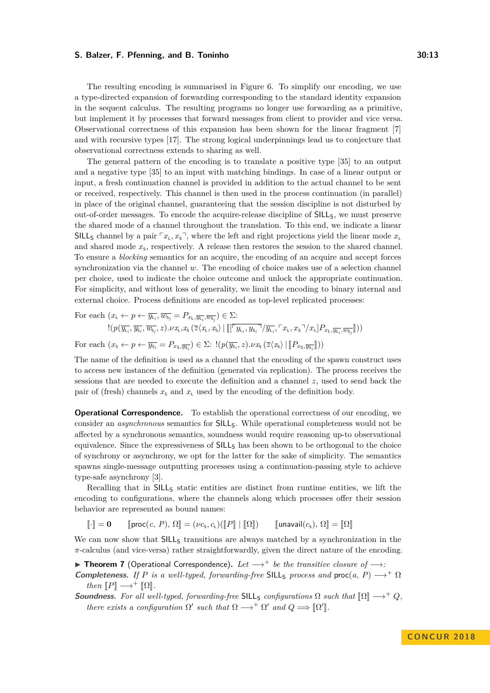The resulting encoding is summarised in Figure [6.](#page-13-1) To simplify our encoding, we use a type-directed expansion of forwarding corresponding to the standard identity expansion in the sequent calculus. The resulting programs no longer use forwarding as a primitive, but implement it by processes that forward messages from client to provider and vice versa. Observational correctness of this expansion has been shown for the linear fragment [\[7\]](#page-15-13) and with recursive types [\[17\]](#page-15-14). The strong logical underpinnings lead us to conjecture that observational correctness extends to sharing as well.

The general pattern of the encoding is to translate a positive type [\[35\]](#page-16-4) to an output and a negative type [\[35\]](#page-16-4) to an input with matching bindings. In case of a linear output or input, a fresh continuation channel is provided in addition to the actual channel to be sent or received, respectively. This channel is then used in the process continuation (in parallel) in place of the original channel, guaranteeing that the session discipline is not disturbed by out-of-order messages. To encode the acquire-release discipline of SILLS, we must preserve the shared mode of a channel throughout the translation. To this end, we indicate a linear SILL<sub>S</sub> channel by a pair  $\ulcorner x_L, x_s \urcorner$ , where the left and right projections yield the linear mode  $x_L$ and shared mode  $x_5$ , respectively. A release then restores the session to the shared channel. To ensure a *blocking* semantics for an acquire, the encoding of an acquire and accept forces synchronization via the channel *w*. The encoding of choice makes use of a selection channel per choice, used to indicate the choice outcome and unlock the appropriate continuation. For simplicity, and without loss of generality, we limit the encoding to binary internal and external choice. Process definitions are encoded as top-level replicated processes:

For each 
$$
(x_{\mathsf{L}} \leftarrow p \leftarrow \overline{y_{\mathsf{L}_i}}, \overline{w_{\mathsf{S}_j}} = P_{x_{\mathsf{L}}, \overline{y_{\mathsf{L}_i}}, \overline{w_{\mathsf{S}_j}}}) \in \Sigma
$$
:  

$$
!(p(\overline{y_{\mathsf{L}_i}}, \overline{y_{\mathsf{S}_i}}, \overline{w_{\mathsf{S}_j}}, z).\nu x_{\mathsf{L}}, x_{\mathsf{S}} (\overline{z} \langle x_{\mathsf{L}}, x_{\mathsf{S}} \rangle | [[\overline{y_{\mathsf{L}_i}, y_{\mathsf{S}_i}}] / \overline{y_{\mathsf{L}_i}}, \overline{y_{\mathsf{L}_i}, x_{\mathsf{S}}}] / x_{\mathsf{L}}] P_{x_{\mathsf{L}}, \overline{y_{\mathsf{L}_i}, y_{\mathsf{S}_j}}}] ))
$$

For each  $(x_s \leftarrow p \leftarrow \overline{y_{s_i}} = P_{x_s, \overline{y_{s_i}}}\right) \in \Sigma$ :  $!(p(\overline{y_{s_i}}, z) \cdot \nu x_s (\overline{z} \langle x_s \rangle | [P_{x_s, \overline{y_{s_i}}}]))$ 

The name of the definition is used as a channel that the encoding of the spawn construct uses to access new instances of the definition (generated via replication). The process receives the sessions that are needed to execute the definition and a channel *z*, used to send back the pair of (fresh) channels  $x<sub>s</sub>$  and  $x<sub>l</sub>$  used by the encoding of the definition body.

**Operational Correspondence.** To establish the operational correctness of our encoding, we consider an *asynchronous* semantics for SILLS. While operational completeness would not be affected by a synchronous semantics, soundness would require reasoning up-to observational equivalence. Since the expressiveness of SILL<sub>S</sub> has been shown to be orthogonal to the choice of synchrony or asynchrony, we opt for the latter for the sake of simplicity. The semantics spawns single-message outputting processes using a continuation-passing style to achieve type-safe asynchrony [\[3\]](#page-15-4).

Recalling that in SILL<sub>S</sub> static entities are distinct from runtime entities, we lift the encoding to configurations, where the channels along which processes offer their session behavior are represented as bound names:

$$
\llbracket \cdot \rrbracket = \mathbf{0} \qquad \llbracket \mathsf{proc}(c, P), \Omega \rrbracket = (\nu c_s, c_\iota)(\llbracket P \rrbracket \mid \llbracket \Omega \rrbracket) \qquad \llbracket \mathsf{unavail}(c_s), \Omega \rrbracket = \llbracket \Omega \rrbracket
$$

We can now show that  $SILL<sub>S</sub>$  transitions are always matched by a synchronization in the *π*-calculus (and vice-versa) rather straightforwardly, given the direct nature of the encoding.

I **Theorem 7** (Operational Correspondence)**.** *Let* −→<sup>+</sup> *be the transitive closure of* −→*:* **Completeness.** If P is a well-typed, forwarding-free SILLs process and proc(*a*, P)  $\rightarrow$ +  $\Omega$ *then*  $\llbracket P \rrbracket \longrightarrow^+ \llbracket \Omega \rrbracket$ .

**Soundness.** For all well-typed, forwarding-free SILL<sub>S</sub> configurations  $\Omega$  such that  $\lbrack \Omega \rbrack \longrightarrow^+ Q$ , *there exists a configuration*  $\Omega'$  *such that*  $\Omega \longrightarrow^{+} \Omega'$  *and*  $Q \Longrightarrow [\![\Omega']\!]$ .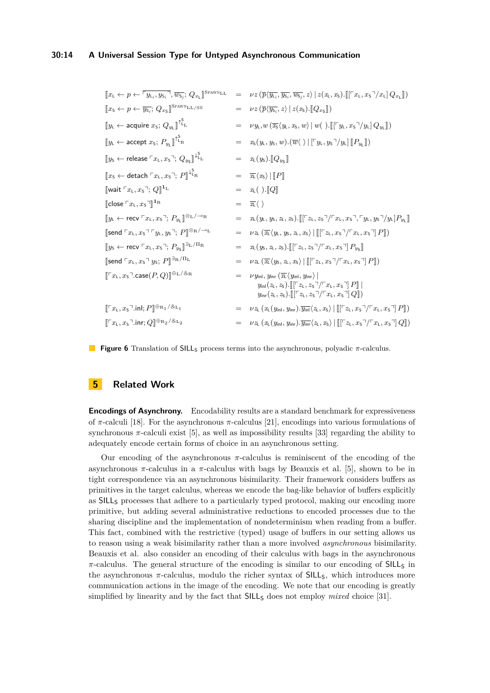# **30:14 A Universal Session Type for Untyped Asynchronous Communication**

<span id="page-13-1"></span>

| $[\![x_{\mathsf{L}} \leftarrow p \leftarrow \lceil y_{\mathsf{L}_i}, y_{\mathsf{S}_i} \rceil, \overline{w_{\mathsf{S}_i}}; Q_{x_{\mathsf{L}}} \!]$ <sup>SPAWNLL</sup>                   | $=$ | $\nu z\left(\overline{p}\langle\overline{y_{\text{L}_i}},\overline{y_{\text{S}_i}},\overline{w_{\text{S}_j}},z\right)   z(x_{\text{L}},x_{\text{S}}). \llbracket [\ulcorner x_{\text{L}},x_{\text{S}}\urcorner /x_{\text{L}}] Q_{x_{\text{L}}} \rrbracket)$                                                                                                                                                                                                     |
|-----------------------------------------------------------------------------------------------------------------------------------------------------------------------------------------|-----|-----------------------------------------------------------------------------------------------------------------------------------------------------------------------------------------------------------------------------------------------------------------------------------------------------------------------------------------------------------------------------------------------------------------------------------------------------------------|
| $[x_{\scriptscriptstyle{5}} \leftarrow p \leftarrow \overline{y_{\scriptscriptstyle{5}}}; Q_{x_{\scriptscriptstyle{5}}}]^{\text{SPANN}}$ LL/SS                                          | $=$ | $\nu z \left( \overline{p} \langle \overline{y_{s_i}}, z \rangle \,   \, z(x_{\rm s}).\llbracket Q_{x_{\rm s}} \rrbracket \right)$                                                                                                                                                                                                                                                                                                                              |
| $\llbracket y_{\mathsf{L}} \leftarrow$ acquire $x_{\mathsf{S}}$ ; $Q_{y_{\mathsf{L}}} \rrbracket^{\uparrow_{\mathsf{L}}^{\mathsf{S}}}$                                                  | $=$ | $\nu y_{\mathsf{L}}, w(\overline{x_{\mathsf{S}}}\langle y_{\mathsf{L}}, x_{\mathsf{S}}, w \rangle \mid w(\ ) . \llbracket [\ulcorner y_{\mathsf{L}}, x_{\mathsf{S}} \urcorner / y_{\mathsf{L}}] Q_{y_{\mathsf{L}}} \rrbracket)$                                                                                                                                                                                                                                 |
| $\llbracket y_{\text{L}} \leftarrow \text{accept } x_{\text{S}}; P_{y_{\text{L}}} \rrbracket^{\uparrow \Sigma_{\text{R}}}$                                                              | $=$ | $x_{\mathsf{S}}(y_{\mathsf{L}}, y_{\mathsf{S}}, w) \cdot (\overline{w} \langle \ \rangle   [\ulcorner y_{\mathsf{L}}, y_{\mathsf{S}} \urcorner / y_{\mathsf{L}}]   [P_{y_{\mathsf{L}}}  ])$                                                                                                                                                                                                                                                                     |
| $\n   \llbracket y_5 \leftarrow release \ulcorner x_L, x_5 \urcorner; Q_{y_5} \urbracket^{\downarrow L}.$                                                                               | $=$ | $x_L(y_S)$ . $[Q_{y_S}]$                                                                                                                                                                                                                                                                                                                                                                                                                                        |
| $\llbracket x_{\mathsf{S}} \leftarrow$ detach $\ulcorner x_{\mathsf{L}}, x_{\mathsf{S}} \urcorner; \, P \rrbracket^{\downarrow_{\mathsf{L}_{\mathsf{R}}^{\mathsf{S}}}$                  |     | $= \overline{x_{\mathsf{L}}}\langle x_{\mathsf{S}}\rangle \ \ P\ $                                                                                                                                                                                                                                                                                                                                                                                              |
| $\llbracket$ wait $\ulcorner x_\text{L}, x_\text{S} \urcorner; Q \rrbracket$ <sup>1</sup> <sup>L</sup>                                                                                  | $=$ | $x_L( ) . \llbracket Q \rrbracket$                                                                                                                                                                                                                                                                                                                                                                                                                              |
| $\llbracket \mathsf{close} \rceil x_\mathsf{L}, x_\mathsf{S} \urcorner \rrbracket^{\mathsf{1}_\mathsf{R}}$                                                                              | $=$ | $\overline{x_{\mathsf{L}}} \langle \ \rangle$                                                                                                                                                                                                                                                                                                                                                                                                                   |
| $\n  \n  \left[ y_{\text{L}} \leftarrow \text{recv} \, \ulcorner x_{\text{L}}, x_{\text{S}} \urcorner; \, P_{y_{\text{L}}} \right] ^{\otimes_{\text{L}} / \neg \circ_{\text{R}}}$       | $=$ | $x_L(y_L, y_S, z_L, z_S)$ . $\left[ \left[ \left[ \left[ z_L, z_S \right] / \left[ x_L, x_S \right], \left[ y_L, y_S \right] / y_L \right] P_{y_L} \right] \right]$                                                                                                                                                                                                                                                                                             |
| [send $\ulcorner x_L, x_S \urcorner \ulcorner y_L, y_S \urcorner; P$ ]⊗R/ $\neg$ °L                                                                                                     | $=$ | $\nu z_L(\overline{x_L}\langle y_L, y_S, z_L, x_S \rangle)$ $\left[ \left[ \left[ \left[ z_L, x_S \right] / \left[ x_L, x_S \right] \right] P \right] \right]$                                                                                                                                                                                                                                                                                                  |
| $\n   \llbracket y_{\mathsf{S}} \leftarrow \mathsf{recv} \sqsubseteq x_{\mathsf{L}}, x_{\mathsf{S}} \urcorner; P_{y_{\mathsf{S}}} \rrbracket^{\exists_{\mathsf{L}} / \Pi_{\mathsf{R}}}$ | $=$ | $x_L(y_S, z_L, z_S)$ . $\llbracket [\lceil z_L, z_S \rceil / \lceil x_L, x_S \rceil] P_{y_S} \rrbracket$                                                                                                                                                                                                                                                                                                                                                        |
| [send $\ulcorner x_L, x_S \urcorner y_S; P$ ] <sup>∃<sub>R</sub>/<math>\mathsf{\Pi}_L</math></sup>                                                                                      | $=$ | $\nu z_L(\overline{x_L}\langle y_S, z_L, x_S \rangle)$ $\left[ \left[ \left[ \left[ z_L, x_S^{\mathsf{T}} \right] \left[ \left[ x_L, x_S \right] \right] P \right] \right] \right]$                                                                                                                                                                                                                                                                             |
| $\llbracket \ulcorner x_L, x_S \urcorner$ case $(P,Q) \rrbracket^{\oplus_L/\otimes_R}$                                                                                                  |     | $\nu y_{\mathsf{inl}}, y_{\mathsf{inr}} \left( \overline{x_{\mathsf{L}}} \langle y_{\mathsf{inl}}, y_{\mathsf{inr}} \rangle \right)$<br>$y_{\text{in}}(z_{\text{L}}, z_{\text{S}})$ . $\left[ \left[ \left[ \left[ z_{\text{L}}, z_{\text{S}} \right] / \left[ \left[ x_{\text{L}}, x_{\text{S}} \right] \right] P \right] \right] \right]$<br>$y_{\text{inr}}(z_L, z_S)$ . $\left[ \left[ \left[ z_L, z_S \right] / \left[ x_L, x_S \right] \right] Q \right]$ |
| $[\![\ulcorner x_\mathsf{L}, x_\mathsf{S}\urcorner .\mathsf{inl}; P]\!]^{\oplus_{\mathsf{R}_1}/\mathcal{S}_{\mathsf{L}_1}}$                                                             |     | $\nu z_L(x_L(y_{\text{inl}}, y_{\text{inr}}).\overline{y_{\text{inl}}}\langle z_L, x_{\text{S}}\rangle   [[\lceil z_L, x_{\text{S}}\rceil/\lceil x_L, x_{\text{S}}\rceil] P]]$                                                                                                                                                                                                                                                                                  |
| $\llbracket \ulcorner x_{\mathsf{L}}, x_{\mathsf{S}} \urcorner$ .inr; $Q \rrbracket^{\oplus_{\mathsf{R}_2} / \mathcal{S}_{\mathsf{L}_2}}$                                               |     | $\nu z_L(x_L(y_{\text{inl}}, y_{\text{inr}}).\overline{y_{\text{inr}}}\langle z_L, x_{\text{S}}\rangle   [[\lceil z_L, x_{\text{S}}\rceil/\lceil x_L, x_{\text{S}}\rceil  Q ])$                                                                                                                                                                                                                                                                                 |

**Figure 6** Translation of SILL<sub>S</sub> process terms into the asynchronous, polyadic *π*-calculus.

# <span id="page-13-0"></span>**5 Related Work**

**Encodings of Asynchrony.** Encodability results are a standard benchmark for expressiveness of *π*-calculi [\[18\]](#page-15-11). For the asynchronous *π*-calculus [\[21\]](#page-16-10), encodings into various formulations of synchronous  $\pi$ -calculi exist [\[5\]](#page-15-10), as well as impossibility results [\[33\]](#page-16-9) regarding the ability to adequately encode certain forms of choice in an asynchronous setting.

Our encoding of the asynchronous *π*-calculus is reminiscent of the encoding of the asynchronous  $\pi$ -calculus in a  $\pi$ -calculus with bags by Beauxis et al. [\[5\]](#page-15-10), shown to be in tight correspondence via an asynchronous bisimilarity. Their framework considers buffers as primitives in the target calculus, whereas we encode the bag-like behavior of buffers explicitly as SILL<sup>S</sup> processes that adhere to a particularly typed protocol, making our encoding more primitive, but adding several administrative reductions to encoded processes due to the sharing discipline and the implementation of nondeterminism when reading from a buffer. This fact, combined with the restrictive (typed) usage of buffers in our setting allows us to reason using a weak bisimilarity rather than a more involved *asynchronous* bisimilarity. Beauxis et al. also consider an encoding of their calculus with bags in the asynchronous  $\pi$ -calculus. The general structure of the encoding is similar to our encoding of SILL<sub>S</sub> in the asynchronous  $\pi$ -calculus, modulo the richer syntax of SILL<sub>S</sub>, which introduces more communication actions in the image of the encoding. We note that our encoding is greatly simplified by linearity and by the fact that  $SILs$  does not employ *mixed* choice [\[31\]](#page-16-11).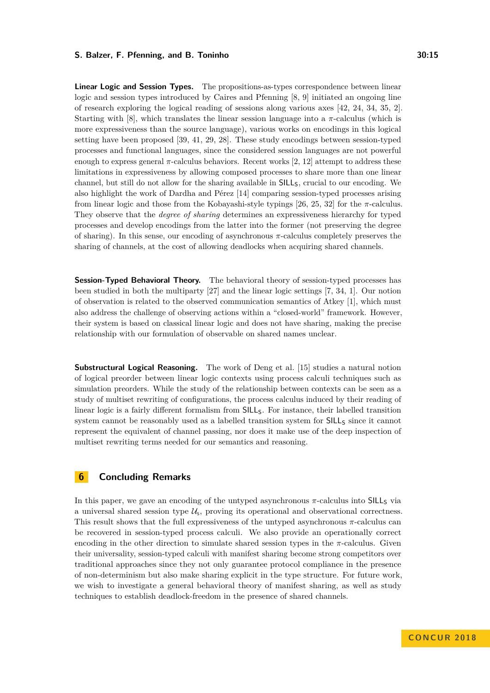**Linear Logic and Session Types.** The propositions-as-types correspondence between linear logic and session types introduced by Caires and Pfenning [\[8,](#page-15-1) [9\]](#page-15-2) initiated an ongoing line of research exploring the logical reading of sessions along various axes [\[42,](#page-17-0) [24,](#page-16-12) [34,](#page-16-6) [35,](#page-16-4) [2\]](#page-15-15). Starting with [\[8\]](#page-15-1), which translates the linear session language into a  $\pi$ -calculus (which is more expressiveness than the source language), various works on encodings in this logical setting have been proposed [\[39,](#page-16-13) [41,](#page-17-2) [29,](#page-16-14) [28\]](#page-16-15). These study encodings between session-typed processes and functional languages, since the considered session languages are not powerful enough to express general  $\pi$ -calculus behaviors. Recent works [\[2,](#page-15-15) [12\]](#page-15-16) attempt to address these limitations in expressiveness by allowing composed processes to share more than one linear channel, but still do not allow for the sharing available in  $SILL<sub>S</sub>$ , crucial to our encoding. We also highlight the work of Dardha and Pérez [\[14\]](#page-15-17) comparing session-typed processes arising from linear logic and those from the Kobayashi-style typings  $[26, 25, 32]$  $[26, 25, 32]$  $[26, 25, 32]$  $[26, 25, 32]$  $[26, 25, 32]$  for the  $\pi$ -calculus. They observe that the *degree of sharing* determines an expressiveness hierarchy for typed processes and develop encodings from the latter into the former (not preserving the degree of sharing). In this sense, our encoding of asynchronous *π*-calculus completely preserves the sharing of channels, at the cost of allowing deadlocks when acquiring shared channels.

**Session-Typed Behavioral Theory.** The behavioral theory of session-typed processes has been studied in both the multiparty [\[27\]](#page-16-19) and the linear logic settings [\[7,](#page-15-13) [34,](#page-16-6) [1\]](#page-15-18). Our notion of observation is related to the observed communication semantics of Atkey [\[1\]](#page-15-18), which must also address the challenge of observing actions within a "closed-world" framework. However, their system is based on classical linear logic and does not have sharing, making the precise relationship with our formulation of observable on shared names unclear.

**Substructural Logical Reasoning.** The work of Deng et al. [\[15\]](#page-15-19) studies a natural notion of logical preorder between linear logic contexts using process calculi techniques such as simulation preorders. While the study of the relationship between contexts can be seen as a study of multiset rewriting of configurations, the process calculus induced by their reading of linear logic is a fairly different formalism from SILLS. For instance, their labelled transition system cannot be reasonably used as a labelled transition system for SILLs since it cannot represent the equivalent of channel passing, nor does it make use of the deep inspection of multiset rewriting terms needed for our semantics and reasoning.

# <span id="page-14-0"></span>**6 Concluding Remarks**

In this paper, we gave an encoding of the untyped asynchronous  $\pi$ -calculus into SILL<sub>S</sub> via a universal shared session type  $\mathcal{U}_s$ , proving its operational and observational correctness. This result shows that the full expressiveness of the untyped asynchronous *π*-calculus can be recovered in session-typed process calculi. We also provide an operationally correct encoding in the other direction to simulate shared session types in the  $\pi$ -calculus. Given their universality, session-typed calculi with manifest sharing become strong competitors over traditional approaches since they not only guarantee protocol compliance in the presence of non-determinism but also make sharing explicit in the type structure. For future work, we wish to investigate a general behavioral theory of manifest sharing, as well as study techniques to establish deadlock-freedom in the presence of shared channels.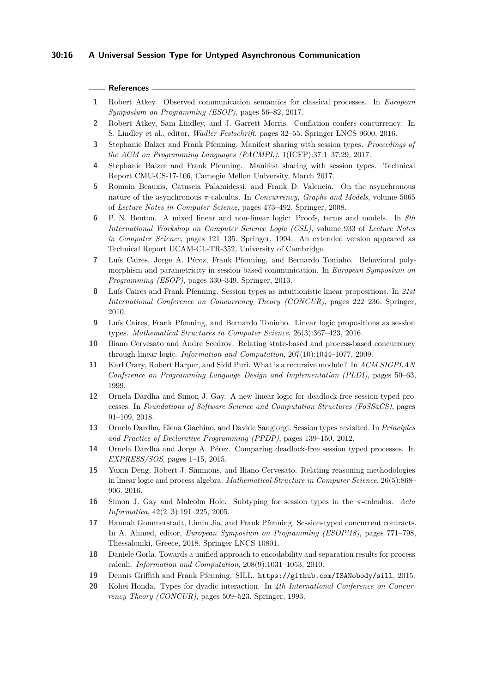#### **References**

- <span id="page-15-18"></span>**1** Robert Atkey. Observed communication semantics for classical processes. In *European Symposium on Programming (ESOP)*, pages 56–82, 2017.
- <span id="page-15-15"></span>**2** Robert Atkey, Sam Lindley, and J. Garrett Morris. Conflation confers concurrency. In S. Lindley et al., editor, *Wadler Festschrift*, pages 32–55. Springer LNCS 9600, 2016.
- <span id="page-15-4"></span>**3** Stephanie Balzer and Frank Pfenning. Manifest sharing with session types. *Proceedings of the ACM on Programming Languages (PACMPL)*, 1(ICFP):37:1–37:29, 2017.
- <span id="page-15-5"></span>**4** Stephanie Balzer and Frank Pfenning. Manifest sharing with session types. Technical Report CMU-CS-17-106, Carnegie Mellon University, March 2017.
- <span id="page-15-10"></span>**5** Romain Beauxis, Catuscia Palamidessi, and Frank D. Valencia. On the asynchronous nature of the asynchronous *π*-calculus. In *Concurrency, Graphs and Models*, volume 5065 of *Lecture Notes in Computer Science*, pages 473–492. Springer, 2008.
- <span id="page-15-8"></span>**6** P. N. Benton. A mixed linear and non-linear logic: Proofs, terms and models. In *8th International Workshop on Computer Science Logic (CSL)*, volume 933 of *Lecture Notes in Computer Science*, pages 121–135. Springer, 1994. An extended version appeared as Technical Report UCAM-CL-TR-352, University of Cambridge.
- <span id="page-15-13"></span>**7** Luís Caires, Jorge A. Pérez, Frank Pfenning, and Bernardo Toninho. Behavioral polymorphism and parametricity in session-based communication. In *European Symposium on Programming (ESOP)*, pages 330–349. Springer, 2013.
- <span id="page-15-1"></span>**8** Luís Caires and Frank Pfenning. Session types as intuitionistic linear propositions. In *21st International Conference on Concurrency Theory (CONCUR)*, pages 222–236. Springer, 2010.
- <span id="page-15-2"></span>**9** Luís Caires, Frank Pfenning, and Bernardo Toninho. Linear logic propositions as session types. *Mathematical Structures in Computer Science*, 26(3):367–423, 2016.
- <span id="page-15-9"></span>**10** Iliano Cervesato and Andre Scedrov. Relating state-based and process-based concurrency through linear logic. *Information and Computation*, 207(10):1044–1077, 2009.
- <span id="page-15-6"></span>**11** Karl Crary, Robert Harper, and Sidd Puri. What is a recursive module? In *ACM SIGPLAN Conference on Programming Language Design and Implementation (PLDI)*, pages 50–63, 1999.
- <span id="page-15-16"></span>**12** Ornela Dardha and Simon J. Gay. A new linear logic for deadlock-free session-typed processes. In *Foundations of Software Science and Computation Structures (FoSSaCS)*, pages 91–109, 2018.
- <span id="page-15-12"></span>**13** Ornela Dardha, Elena Giachino, and Davide Sangiorgi. Session types revisited. In *Principles and Practice of Declarative Programming (PPDP)*, pages 139–150, 2012.
- <span id="page-15-17"></span>**14** Ornela Dardha and Jorge A. Pérez. Comparing deadlock-free session typed processes. In *EXPRESS/SOS*, pages 1–15, 2015.
- <span id="page-15-19"></span>**15** Yuxin Deng, Robert J. Simmons, and Iliano Cervesato. Relating reasoning methodologies in linear logic and process algebra. *Mathematical Structure in Computer Science*, 26(5):868– 906, 2016.
- <span id="page-15-7"></span>**16** Simon J. Gay and Malcolm Hole. Subtyping for session types in the *π*-calculus. *Acta Informatica*, 42(2–3):191–225, 2005.
- <span id="page-15-14"></span>**17** Hannah Gommerstadt, Limin Jia, and Frank Pfenning. Session-typed concurrent contracts. In A. Ahmed, editor, *European Symposium on Programming (ESOP'18)*, pages 771–798, Thessaloniki, Greece, 2018. Springer LNCS 10801.
- <span id="page-15-11"></span>**18** Daniele Gorla. Towards a unified approach to encodability and separation results for process calculi. *Information and Computation*, 208(9):1031–1053, 2010.
- <span id="page-15-3"></span>**19** Dennis Griffith and Frank Pfenning. SILL. <https://github.com/ISANobody/sill>, 2015.
- <span id="page-15-0"></span>**20** Kohei Honda. Types for dyadic interaction. In *4th International Conference on Concurrency Theory (CONCUR)*, pages 509–523. Springer, 1993.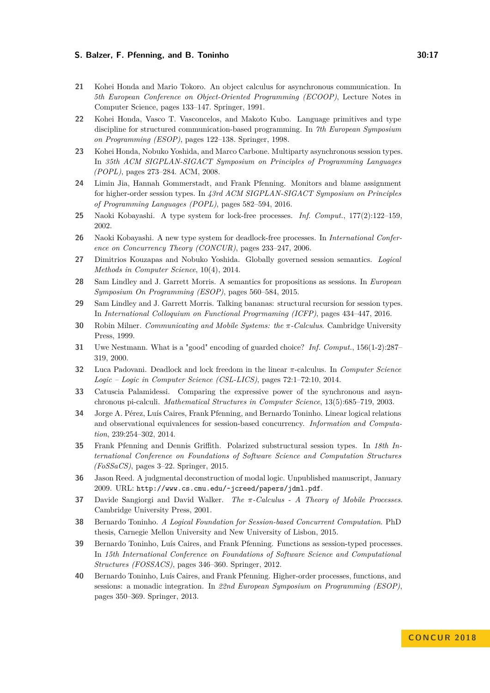- <span id="page-16-10"></span>**21** Kohei Honda and Mario Tokoro. An object calculus for asynchronous communication. In *5th European Conference on Object-Oriented Programming (ECOOP)*, Lecture Notes in Computer Science, pages 133–147. Springer, 1991.
- <span id="page-16-0"></span>**22** Kohei Honda, Vasco T. Vasconcelos, and Makoto Kubo. Language primitives and type discipline for structured communication-based programming. In *7th European Symposium on Programming (ESOP)*, pages 122–138. Springer, 1998.
- <span id="page-16-1"></span>**23** Kohei Honda, Nobuko Yoshida, and Marco Carbone. Multiparty asynchronous session types. In *35th ACM SIGPLAN-SIGACT Symposium on Principles of Programming Languages (POPL)*, pages 273–284. ACM, 2008.
- <span id="page-16-12"></span>**24** Limin Jia, Hannah Gommerstadt, and Frank Pfenning. Monitors and blame assignment for higher-order session types. In *43rd ACM SIGPLAN-SIGACT Symposium on Principles of Programming Languages (POPL)*, pages 582–594, 2016.
- <span id="page-16-17"></span>**25** Naoki Kobayashi. A type system for lock-free processes. *Inf. Comput.*, 177(2):122–159, 2002.
- <span id="page-16-16"></span>**26** Naoki Kobayashi. A new type system for deadlock-free processes. In *International Conference on Concurrency Theory (CONCUR)*, pages 233–247, 2006.
- <span id="page-16-19"></span>**27** Dimitrios Kouzapas and Nobuko Yoshida. Globally governed session semantics. *Logical Methods in Computer Science*, 10(4), 2014.
- <span id="page-16-15"></span>**28** Sam Lindley and J. Garrett Morris. A semantics for propositions as sessions. In *European Symposium On Programming (ESOP)*, pages 560–584, 2015.
- <span id="page-16-14"></span>**29** Sam Lindley and J. Garrett Morris. Talking bananas: structural recursion for session types. In *International Colloquium on Functional Progrmaming (ICFP)*, pages 434–447, 2016.
- <span id="page-16-7"></span>**30** Robin Milner. *Communicating and Mobile Systems: the π-Calculus*. Cambridge University Press, 1999.
- <span id="page-16-11"></span>**31** Uwe Nestmann. What is a "good" encoding of guarded choice? *Inf. Comput.*, 156(1-2):287– 319, 2000.
- <span id="page-16-18"></span>**32** Luca Padovani. Deadlock and lock freedom in the linear *π*-calculus. In *Computer Science Logic – Logic in Computer Science (CSL-LICS)*, pages 72:1–72:10, 2014.
- <span id="page-16-9"></span>**33** Catuscia Palamidessi. Comparing the expressive power of the synchronous and asynchronous pi-calculi. *Mathematical Structures in Computer Science*, 13(5):685–719, 2003.
- <span id="page-16-6"></span>**34** Jorge A. Pérez, Luís Caires, Frank Pfenning, and Bernardo Toninho. Linear logical relations and observational equivalences for session-based concurrency. *Information and Computation*, 239:254–302, 2014.
- <span id="page-16-4"></span>**35** Frank Pfenning and Dennis Griffith. Polarized substructural session types. In *18th International Conference on Foundations of Software Science and Computation Structures (FoSSaCS)*, pages 3–22. Springer, 2015.
- <span id="page-16-5"></span>**36** Jason Reed. A judgmental deconstruction of modal logic. Unpublished manuscript, January 2009. URL: <http://www.cs.cmu.edu/~jcreed/papers/jdml.pdf>.
- <span id="page-16-8"></span>**37** Davide Sangiorgi and David Walker. *The π-Calculus - A Theory of Mobile Processes*. Cambridge University Press, 2001.
- <span id="page-16-2"></span>**38** Bernardo Toninho. *A Logical Foundation for Session-based Concurrent Computation*. PhD thesis, Carnegie Mellon University and New University of Lisbon, 2015.
- <span id="page-16-13"></span>**39** Bernardo Toninho, Luís Caires, and Frank Pfenning. Functions as session-typed processes. In *15th International Conference on Foundations of Software Science and Computational Structures (FOSSACS)*, pages 346–360. Springer, 2012.
- <span id="page-16-3"></span>**40** Bernardo Toninho, Luís Caires, and Frank Pfenning. Higher-order processes, functions, and sessions: a monadic integration. In *22nd European Symposium on Programming (ESOP)*, pages 350–369. Springer, 2013.